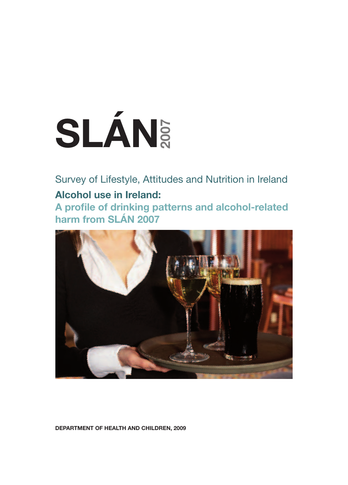# SLÁN

Survey of Lifestyle, Attitudes and Nutrition in Ireland Alcohol use in Ireland: A profile of drinking patterns and alcohol-related



DEPARTMENT OF HEALTH AND CHILDREN, 2009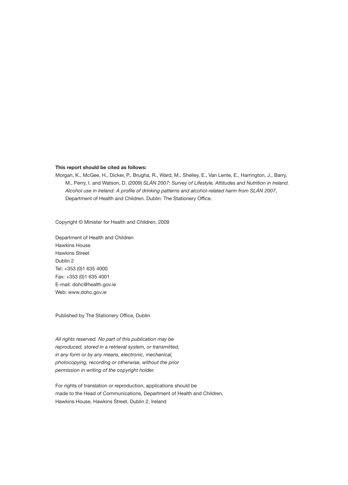#### This report should be cited as follows:

Morgan, K., McGee, H., Dicker, P., Brugha, R., Ward, M., Shelley, E., Van Lente, E., Harrington, J., Barry, M., Perry, I. and Watson, D. (2009) *SLÁN 2007: Survey of Lifestyle, Attitudes and Nutrition in Ireland. Alcohol use in Ireland: A profile of drinking patterns and alcohol-related harm from SLÁN 2007*, Department of Health and Children. Dublin: The Stationery Office.

Copyright © Minister for Health and Children, 2009

Department of Health and Children Hawkins House Hawkins Street Dublin 2 Tel: +353 (0)1 635 4000 Fax: +353 (0)1 635 4001 E-mail: dohc@health.gov.ie Web: www.dohc.gov.ie

Published by The Stationery Office, Dublin

*All rights reserved. No part of this publication may be reproduced, stored in a retrieval system, or transmitted, in any form or by any means, electronic, mechanical, photocopying, recording or otherwise, without the prior permission in writing of the copyright holder.*

For rights of translation or reproduction, applications should be made to the Head of Communications, Department of Health and Children, Hawkins House, Hawkins Street, Dublin 2, Ireland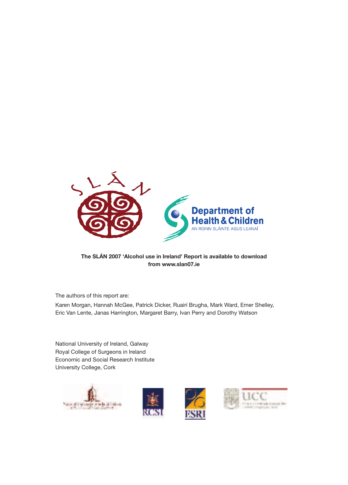

#### The SLAN 2007 'Alcohol use in Ireland' Report is available to download from www.slan07.ie

The authors of this report are:

Karen Morgan, Hannah McGee, Patrick Dicker, Ruairí Brugha, Mark Ward, Emer Shelley, Eric Van Lente, Janas Harrington, Margaret Barry, Ivan Perry and Dorothy Watson

> National University of Ireland, Galway Royal College of Surgeons in Ireland Economic and Social Research Institute University College, Cork National University of Ireland, Galway







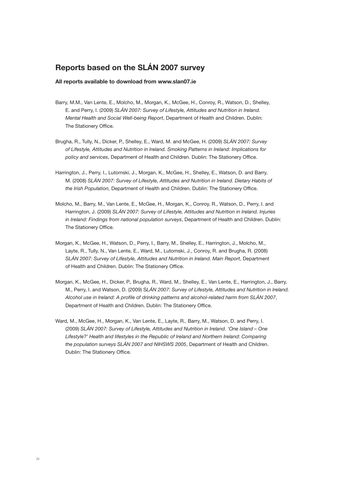## Reports based on the SLÁN 2007 survey

#### All reports available to download from www.slan07.ie

- Barry, M.M., Van Lente, E., Molcho, M., Morgan, K., McGee, H., Conroy, R., Watson, D., Shelley, E. and Perry, I. (2009) *SLÁN 2007: Survey of Lifestyle, Attitudes and Nutrition in Ireland. Mental Health and Social Well-being Report*, Department of Health and Children. Dublin: The Stationery Office.
- Brugha, R., Tully, N., Dicker, P., Shelley, E., Ward, M. and McGee, H. (2009) *SLÁN 2007: Survey of Lifestyle, Attitudes and Nutrition in Ireland. Smoking Patterns in Ireland: Implications for policy and services*, Department of Health and Children. Dublin: The Stationery Office.
- Harrington, J., Perry, I., Lutomski, J., Morgan, K., McGee, H., Shelley, E., Watson, D. and Barry, M. (2008) *SLÁN 2007: Survey of Lifestyle, Attitudes and Nutrition in Ireland. Dietary Habits of the Irish Population,* Department of Health and Children. Dublin: The Stationery Office.
- Molcho, M., Barry, M., Van Lente, E., McGee, H., Morgan, K., Conroy, R., Watson, D., Perry, I. and Harrington, J. (2009) *SLÁN 2007: Survey of Lifestyle, Attitudes and Nutrition in Ireland. Injuries in Ireland: Findings from national population surveys*, Department of Health and Children. Dublin: The Stationery Office.
- Morgan, K., McGee, H., Watson, D., Perry, I., Barry, M., Shelley, E., Harrington, J., Molcho, M., Layte, R., Tully, N., Van Lente, E., Ward, M., Lutomski, J., Conroy, R. and Brugha, R. (2008) *SLÁN 2007: Survey of Lifestyle, Attitudes and Nutrition in Ireland. Main Report*, Department of Health and Children. Dublin: The Stationery Office.
- Morgan, K., McGee, H., Dicker, P., Brugha, R., Ward, M., Shelley, E., Van Lente, E., Harrington, J., Barry, M., Perry, I. and Watson, D. (2009) S*LÁN 2007: Survey of Lifestyle, Attitudes and Nutrition in Ireland. Alcohol use in Ireland: A profile of drinking patterns and alcohol-related harm from SLÁN 2007*, Department of Health and Children. Dublin: The Stationery Office.
- Ward, M., McGee, H., Morgan, K., Van Lente, E., Layte, R., Barry, M., Watson, D. and Perry, I. (2009) *SLÁN 2007: Survey of Lifestyle, Attitudes and Nutrition in Ireland. 'One Island – One Lifestyle?' Health and lifestyles in the Republic of Ireland and Northern Ireland: Comparing the population surveys SLÁN 2007 and NIHSWS 2005*, Department of Health and Children. Dublin: The Stationery Office.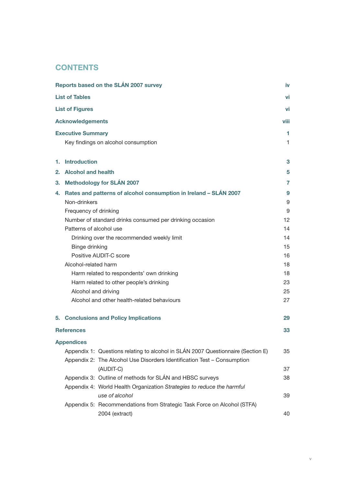# **CONTENTS**

|    |                          | Reports based on the SLAN 2007 survey                                                     | iv   |
|----|--------------------------|-------------------------------------------------------------------------------------------|------|
|    | <b>List of Tables</b>    |                                                                                           | vi   |
|    | <b>List of Figures</b>   |                                                                                           | vi   |
|    | <b>Acknowledgements</b>  |                                                                                           | viii |
|    | <b>Executive Summary</b> |                                                                                           | 1    |
|    |                          | Key findings on alcohol consumption                                                       | 1.   |
|    | 1. Introduction          |                                                                                           | 3    |
|    | 2. Alcohol and health    |                                                                                           | 5    |
| З. |                          | <b>Methodology for SLÁN 2007</b>                                                          | 7    |
|    |                          | 4. Rates and patterns of alcohol consumption in Ireland - SLÁN 2007                       | 9    |
|    | Non-drinkers             |                                                                                           | 9    |
|    | Frequency of drinking    |                                                                                           | 9    |
|    |                          | Number of standard drinks consumed per drinking occasion                                  | 12   |
|    | Patterns of alcohol use  |                                                                                           | 14   |
|    |                          | Drinking over the recommended weekly limit                                                | 14   |
|    | Binge drinking           |                                                                                           | 15   |
|    |                          | Positive AUDIT-C score                                                                    | 16   |
|    | Alcohol-related harm     |                                                                                           | 18   |
|    |                          | Harm related to respondents' own drinking                                                 | 18   |
|    |                          | Harm related to other people's drinking                                                   | 23   |
|    | Alcohol and driving      |                                                                                           | 25   |
|    |                          | Alcohol and other health-related behaviours                                               | 27   |
|    |                          | 5. Conclusions and Policy Implications                                                    | 29   |
|    | <b>References</b>        |                                                                                           | 33   |
|    | <b>Appendices</b>        |                                                                                           |      |
|    |                          | Appendix 1: Questions relating to alcohol in SLÁN 2007 Questionnaire (Section E)          | 35   |
|    |                          | Appendix 2: The Alcohol Use Disorders Identification Test - Consumption                   |      |
|    |                          | (AUDIT-C)                                                                                 | 37   |
|    |                          | Appendix 3: Outline of methods for SLÁN and HBSC surveys                                  | 38   |
|    |                          | Appendix 4: World Health Organization Strategies to reduce the harmful                    |      |
|    |                          | use of alcohol                                                                            | 39   |
|    |                          | Appendix 5: Recommendations from Strategic Task Force on Alcohol (STFA)<br>2004 (extract) | 40   |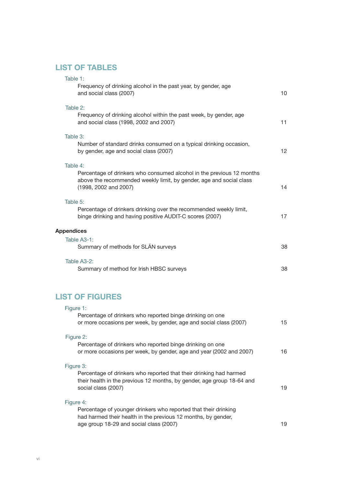# List of Tables

| Table 1:                                                                                                                                                              |                   |
|-----------------------------------------------------------------------------------------------------------------------------------------------------------------------|-------------------|
| Frequency of drinking alcohol in the past year, by gender, age<br>and social class (2007)                                                                             | 10                |
| Table 2:                                                                                                                                                              |                   |
| Frequency of drinking alcohol within the past week, by gender, age<br>and social class (1998, 2002 and 2007)                                                          | 11                |
| Table 3:                                                                                                                                                              |                   |
| Number of standard drinks consumed on a typical drinking occasion,<br>by gender, age and social class (2007)                                                          | $12 \overline{ }$ |
| Table 4:                                                                                                                                                              |                   |
| Percentage of drinkers who consumed alcohol in the previous 12 months<br>above the recommended weekly limit, by gender, age and social class<br>(1998, 2002 and 2007) | 14                |
| Table 5:                                                                                                                                                              |                   |
| Percentage of drinkers drinking over the recommended weekly limit,<br>binge drinking and having positive AUDIT-C scores (2007)                                        | 17                |
| <b>Appendices</b>                                                                                                                                                     |                   |
| Table A3-1:                                                                                                                                                           |                   |
| Summary of methods for SLÁN surveys                                                                                                                                   | 38                |
| Table A3-2:                                                                                                                                                           |                   |
| Summary of method for Irish HBSC surveys                                                                                                                              | 38                |
| <b>LIST OF FIGURES</b>                                                                                                                                                |                   |

| Figure 1:<br>Percentage of drinkers who reported binge drinking on one<br>or more occasions per week, by gender, age and social class (2007)                                     | 15                                      |
|----------------------------------------------------------------------------------------------------------------------------------------------------------------------------------|-----------------------------------------|
| Figure 2:<br>Percentage of drinkers who reported binge drinking on one                                                                                                           |                                         |
| or more occasions per week, by gender, age and year (2002 and 2007)                                                                                                              | 16                                      |
| Figure 3:<br>Percentage of drinkers who reported that their drinking had harmed<br>their health in the previous 12 months, by gender, age group 18-64 and<br>social class (2007) | 19                                      |
| Figure 4:<br>Percentage of younger drinkers who reported that their drinking<br>had harmed their health in the previous 12 months, by gender,                                    | 19                                      |
|                                                                                                                                                                                  | age group 18-29 and social class (2007) |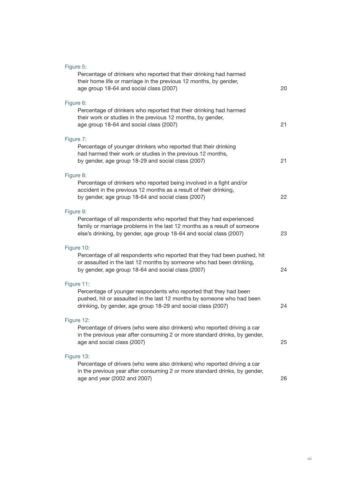| Figure 5:                                                                                                                                                                                                                            |    |
|--------------------------------------------------------------------------------------------------------------------------------------------------------------------------------------------------------------------------------------|----|
| Percentage of drinkers who reported that their drinking had harmed<br>their home life or marriage in the previous 12 months, by gender,<br>age group 18-64 and social class (2007)                                                   | 20 |
| Figure 6:<br>Percentage of drinkers who reported that their drinking had harmed<br>their work or studies in the previous 12 months, by gender,<br>age group 18-64 and social class (2007)                                            | 21 |
| Figure 7:<br>Percentage of younger drinkers who reported that their drinking<br>had harmed their work or studies in the previous 12 months,<br>by gender, age group 18-29 and social class (2007)                                    | 21 |
| Figure 8:<br>Percentage of drinkers who reported being involved in a fight and/or<br>accident in the previous 12 months as a result of their drinking,<br>by gender, age group 18-64 and social class (2007)                         | 22 |
| Figure 9:<br>Percentage of all respondents who reported that they had experienced<br>family or marriage problems in the last 12 months as a result of someone<br>else's drinking, by gender, age group 18-64 and social class (2007) | 23 |
| Figure 10:<br>Percentage of all respondents who reported that they had been pushed, hit<br>or assaulted in the last 12 months by someone who had been drinking,<br>by gender, age group 18-64 and social class (2007)                | 24 |
| Figure 11:<br>Percentage of younger respondents who reported that they had been<br>pushed, hit or assaulted in the last 12 months by someone who had been<br>drinking, by gender, age group 18-29 and social class (2007)            | 24 |
| Figure 12:<br>Percentage of drivers (who were also drinkers) who reported driving a car<br>in the previous year after consuming 2 or more standard drinks, by gender,<br>age and social class (2007)                                 | 25 |
| Figure 13:<br>Percentage of drivers (who were also drinkers) who reported driving a car<br>in the previous year after consuming 2 or more standard drinks, by gender,<br>age and year (2002 and 2007)                                | 26 |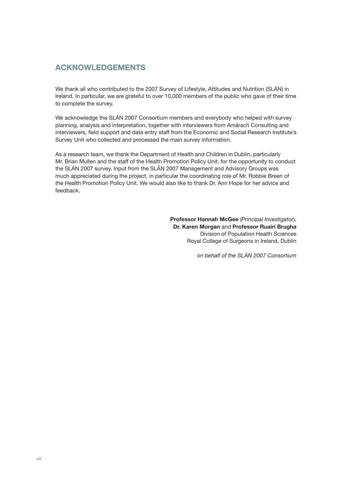## Acknowledgements

We thank all who contributed to the 2007 Survey of Lifestyle, Attitudes and Nutrition (SLÁN) in Ireland. In particular, we are grateful to over 10,000 members of the public who gave of their time to complete the survey.

We acknowledge the SLÁN 2007 Consortium members and everybody who helped with survey planning, analysis and interpretation, together with interviewers from Amárach Consulting and interviewers, field support and data entry staff from the Economic and Social Research Institute's Survey Unit who collected and processed the main survey information.

As a research team, we thank the Department of Health and Children in Dublin, particularly Mr. Brian Mullen and the staff of the Health Promotion Policy Unit, for the opportunity to conduct the SLÁN 2007 survey. Input from the SLÁN 2007 Management and Advisory Groups was much appreciated during the project, in particular the coordinating role of Mr. Robbie Breen of the Health Promotion Policy Unit. We would also like to thank Dr. Ann Hope for her advice and feedback.

> Professor Hannah McGee (*Principal Investigator*), Dr. Karen Morgan and Professor Ruairí Brugha Division of Population Health Sciences Royal College of Surgeons in Ireland, Dublin

> > *on behalf of the SLÁN 2007 Consortium*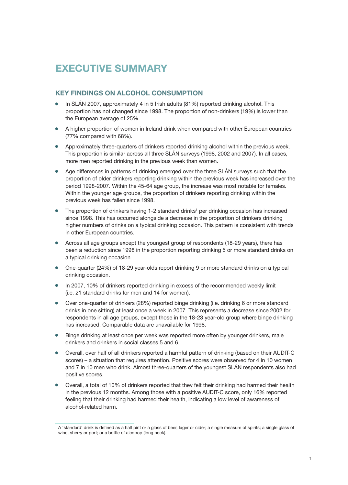# Executive Summary

### Key findings on alcohol consumption

- In SLÁN 2007, approximately 4 in 5 Irish adults  $(81%)$  reported drinking alcohol. This proportion has not changed since 1998. The proportion of non-drinkers (19%) is lower than the European average of 25%.
- A higher proportion of women in Ireland drink when compared with other European countries (77% compared with 68%).
- Approximately three-quarters of drinkers reported drinking alcohol within the previous week. This proportion is similar across all three SLÁN surveys (1998, 2002 and 2007). In all cases, more men reported drinking in the previous week than women.
- Age differences in patterns of drinking emerged over the three SLÁN surveys such that the proportion of older drinkers reporting drinking within the previous week has increased over the period 1998-2007. Within the 45-64 age group, the increase was most notable for females. Within the younger age groups, the proportion of drinkers reporting drinking within the previous week has fallen since 1998.
- The proportion of drinkers having 1-2 standard drinks<sup>1</sup> per drinking occasion has increased since 1998. This has occurred alongside a decrease in the proportion of drinkers drinking higher numbers of drinks on a typical drinking occasion. This pattern is consistent with trends in other European countries.
- Across all age groups except the youngest group of respondents (18-29 years), there has been a reduction since 1998 in the proportion reporting drinking 5 or more standard drinks on a typical drinking occasion.
- One-quarter (24%) of 18-29 year-olds report drinking 9 or more standard drinks on a typical drinking occasion.
- In 2007, 10% of drinkers reported drinking in excess of the recommended weekly limit (i.e. 21 standard drinks for men and 14 for women).
- Over one-quarter of drinkers (28%) reported binge drinking (i.e. drinking 6 or more standard drinks in one sitting) at least once a week in 2007. This represents a decrease since 2002 for respondents in all age groups, except those in the 18-23 year-old group where binge drinking has increased. Comparable data are unavailable for 1998.
- Binge drinking at least once per week was reported more often by younger drinkers, male drinkers and drinkers in social classes 5 and 6.
- Overall, over half of all drinkers reported a harmful pattern of drinking (based on their AUDIT-C scores) – a situation that requires attention. Positive scores were observed for 4 in 10 women and 7 in 10 men who drink. Almost three-quarters of the youngest SLÁN respondents also had positive scores.
- Overall, a total of 10% of drinkers reported that they felt their drinking had harmed their health in the previous 12 months. Among those with a positive AUDIT-C score, only 16% reported feeling that their drinking had harmed their health, indicating a low level of awareness of alcohol-related harm.

 $\frac{1}{1}$  A 'standard' drink is defined as a half pint or a glass of beer, lager or cider; a single measure of spirits; a single glass of wine, sherry or port; or a bottle of alcopop (long neck).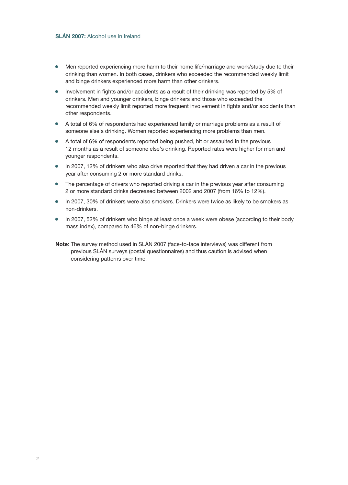- Men reported experiencing more harm to their home life/marriage and work/study due to their drinking than women. In both cases, drinkers who exceeded the recommended weekly limit and binge drinkers experienced more harm than other drinkers.
- $\bullet$  Involvement in fights and/or accidents as a result of their drinking was reported by 5% of drinkers. Men and younger drinkers, binge drinkers and those who exceeded the recommended weekly limit reported more frequent involvement in fights and/or accidents than other respondents.
- A total of 6% of respondents had experienced family or marriage problems as a result of someone else's drinking. Women reported experiencing more problems than men.
- A total of 6% of respondents reported being pushed, hit or assaulted in the previous 12 months as a result of someone else's drinking. Reported rates were higher for men and younger respondents.
- In 2007, 12% of drinkers who also drive reported that they had driven a car in the previous year after consuming 2 or more standard drinks.
- The percentage of drivers who reported driving a car in the previous year after consuming 2 or more standard drinks decreased between 2002 and 2007 (from 16% to 12%).
- In 2007, 30% of drinkers were also smokers. Drinkers were twice as likely to be smokers as non-drinkers.
- In 2007, 52% of drinkers who binge at least once a week were obese (according to their body mass index), compared to 46% of non-binge drinkers.
- Note: The survey method used in SLÁN 2007 (face-to-face interviews) was different from previous SLÁN surveys (postal questionnaires) and thus caution is advised when considering patterns over time.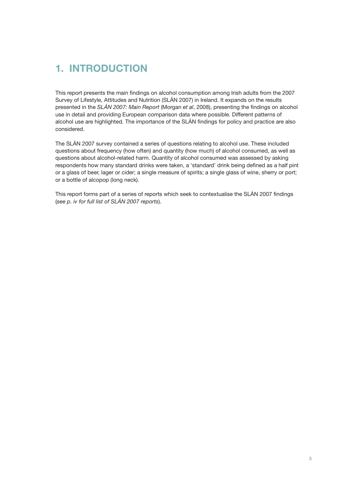# 1. Introduction

This report presents the main findings on alcohol consumption among Irish adults from the 2007 Survey of Lifestyle, Attitudes and Nutrition (SLÁN 2007) in Ireland. It expands on the results presented in the *SLÁN 2007: Main Report* (Morgan *et al*, 2008), presenting the findings on alcohol use in detail and providing European comparison data where possible. Different patterns of alcohol use are highlighted. The importance of the SLÁN findings for policy and practice are also considered.

The SLÁN 2007 survey contained a series of questions relating to alcohol use. These included questions about frequency (how often) and quantity (how much) of alcohol consumed, as well as questions about alcohol-related harm. Quantity of alcohol consumed was assessed by asking respondents how many standard drinks were taken, a 'standard' drink being defined as a half pint or a glass of beer, lager or cider; a single measure of spirits; a single glass of wine, sherry or port; or a bottle of alcopop (long neck).

This report forms part of a series of reports which seek to contextualise the SLÁN 2007 findings (*see p. iv for full list of SLÁN 2007 reports*).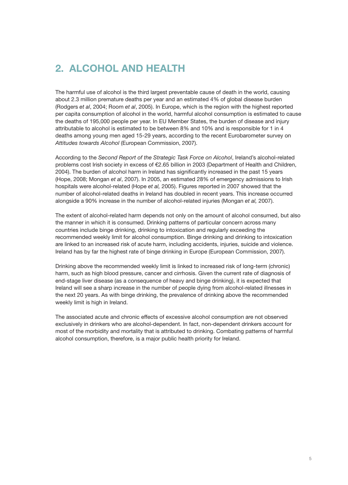# 2. Alcohol and health

The harmful use of alcohol is the third largest preventable cause of death in the world, causing about 2.3 million premature deaths per year and an estimated 4% of global disease burden (Rodgers *et al*, 2004; Room *et al*, 2005). In Europe, which is the region with the highest reported per capita consumption of alcohol in the world, harmful alcohol consumption is estimated to cause the deaths of 195,000 people per year. In EU Member States, the burden of disease and injury attributable to alcohol is estimated to be between 8% and 10% and is responsible for 1 in 4 deaths among young men aged 15-29 years, according to the recent Eurobarometer survey on *Attitudes towards Alcohol* (European Commission, 2007).

According to the *Second Report of the Strategic Task Force on Alcohol*, Ireland's alcohol-related problems cost Irish society in excess of €2.65 billion in 2003 (Department of Health and Children, 2004). The burden of alcohol harm in Ireland has significantly increased in the past 15 years (Hope, 2008; Mongan *et al*, 2007). In 2005, an estimated 28% of emergency admissions to Irish hospitals were alcohol-related (Hope *et al,* 2005). Figures reported in 2007 showed that the number of alcohol-related deaths in Ireland has doubled in recent years. This increase occurred alongside a 90% increase in the number of alcohol-related injuries (Mongan *et al,* 2007).

The extent of alcohol-related harm depends not only on the amount of alcohol consumed, but also the manner in which it is consumed. Drinking patterns of particular concern across many countries include binge drinking, drinking to intoxication and regularly exceeding the recommended weekly limit for alcohol consumption. Binge drinking and drinking to intoxication are linked to an increased risk of acute harm, including accidents, injuries, suicide and violence. Ireland has by far the highest rate of binge drinking in Europe (European Commission, 2007).

Drinking above the recommended weekly limit is linked to increased risk of long-term (chronic) harm, such as high blood pressure, cancer and cirrhosis. Given the current rate of diagnosis of end-stage liver disease (as a consequence of heavy and binge drinking), it is expected that Ireland will see a sharp increase in the number of people dying from alcohol-related illnesses in the next 20 years. As with binge drinking, the prevalence of drinking above the recommended weekly limit is high in Ireland.

The associated acute and chronic effects of excessive alcohol consumption are not observed exclusively in drinkers who are alcohol-dependent. In fact, non-dependent drinkers account for most of the morbidity and mortality that is attributed to drinking. Combating patterns of harmful alcohol consumption, therefore, is a major public health priority for Ireland.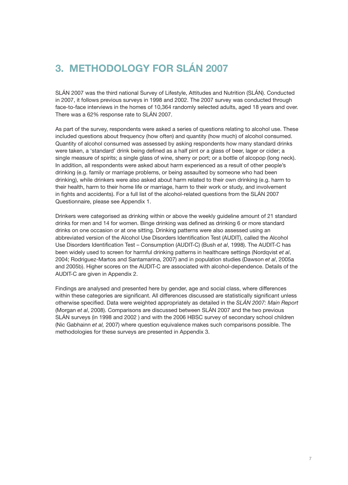# 3. Methodology for SLÁN 2007

SLÁN 2007 was the third national Survey of Lifestyle, Attitudes and Nutrition (SLÁN). Conducted in 2007, it follows previous surveys in 1998 and 2002. The 2007 survey was conducted through face-to-face interviews in the homes of 10,364 randomly selected adults, aged 18 years and over. There was a 62% response rate to SLÁN 2007.

As part of the survey, respondents were asked a series of questions relating to alcohol use. These included questions about frequency (how often) and quantity (how much) of alcohol consumed. Quantity of alcohol consumed was assessed by asking respondents how many standard drinks were taken, a 'standard' drink being defined as a half pint or a glass of beer, lager or cider; a single measure of spirits; a single glass of wine, sherry or port; or a bottle of alcopop (long neck). In addition, all respondents were asked about harm experienced as a result of other people's drinking (e.g. family or marriage problems, or being assaulted by someone who had been drinking), while drinkers were also asked about harm related to their own drinking (e.g. harm to their health, harm to their home life or marriage, harm to their work or study, and involvement in fights and accidents). For a full list of the alcohol-related questions from the SLÁN 2007 Questionnaire, please see Appendix 1.

Drinkers were categorised as drinking within or above the weekly guideline amount of 21 standard drinks for men and 14 for women. Binge drinking was defined as drinking 6 or more standard drinks on one occasion or at one sitting. Drinking patterns were also assessed using an abbreviated version of the Alcohol Use Disorders Identification Test (AUDIT), called the Alcohol Use Disorders Identification Test – Consumption (AUDIT-C) (Bush *et al*, 1998). The AUDIT-C has been widely used to screen for harmful drinking patterns in healthcare settings (Nordqvist *et al*, 2004; Rodriguez-Martos and Santamarina, 2007) and in population studies (Dawson *et al*, 2005a and 2005b). Higher scores on the AUDIT-C are associated with alcohol-dependence. Details of the AUDIT-C are given in Appendix 2.

Findings are analysed and presented here by gender, age and social class, where differences within these categories are significant. All differences discussed are statistically significant unless otherwise specified. Data were weighted appropriately as detailed in the *SLÁN 2007: Main Report* (Morgan *et al*, 2008). Comparisons are discussed between SLÁN 2007 and the two previous SLÁN surveys (in 1998 and 2002 ) and with the 2006 HBSC survey of secondary school children (Nic Gabhainn *et al,* 2007) where question equivalence makes such comparisons possible. The methodologies for these surveys are presented in Appendix 3.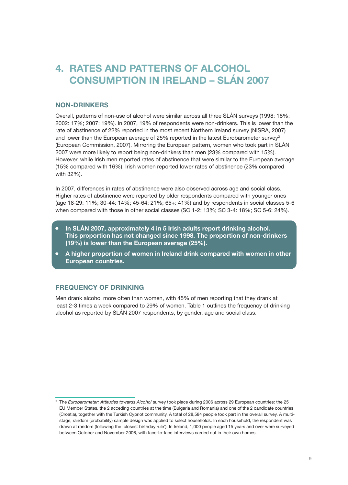# 4. Rates and patterns of alcohol consumption in Ireland – SLÁN 2007

#### Non-drinkers

Overall, patterns of non-use of alcohol were similar across all three SLÁN surveys (1998: 18%; 2002: 17%; 2007: 19%). In 2007, 19% of respondents were non-drinkers. This is lower than the rate of abstinence of 22% reported in the most recent Northern Ireland survey (NISRA, 2007) and lower than the European average of 25% reported in the latest Eurobarometer survey<sup>2</sup> (European Commission, 2007). Mirroring the European pattern, women who took part in SLÁN 2007 were more likely to report being non-drinkers than men (23% compared with 15%). However, while Irish men reported rates of abstinence that were similar to the European average (15% compared with 16%), Irish women reported lower rates of abstinence (23% compared with 32%).

In 2007, differences in rates of abstinence were also observed across age and social class. Higher rates of abstinence were reported by older respondents compared with younger ones (age 18-29: 11%; 30-44: 14%; 45-64: 21%; 65+: 41%) and by respondents in social classes 5-6 when compared with those in other social classes (SC 1-2: 13%; SC 3-4: 18%; SC 5-6: 24%).

- In SLÁN 2007, approximately 4 in 5 Irish adults report drinking alcohol. This proportion has not changed since 1998. The proportion of non-drinkers (19%) is lower than the European average (25%).
- A higher proportion of women in Ireland drink compared with women in other European countries.

#### Frequency of drinking

Men drank alcohol more often than women, with 45% of men reporting that they drank at least 2-3 times a week compared to 29% of women. Table 1 outlines the frequency of drinking alcohol as reported by SLÁN 2007 respondents, by gender, age and social class.

<sup>2</sup> The *Eurobarometer: Attitudes towards Alcohol* survey took place during 2006 across 29 European countries: the 25 EU Member States, the 2 acceding countries at the time (Bulgaria and Romania) and one of the 2 candidate countries (Croatia), together with the Turkish Cypriot community. A total of 28,584 people took part in the overall survey. A multistage, random (probability) sample design was applied to select households. In each household, the respondent was drawn at random (following the 'closest birthday rule'). In Ireland, 1,000 people aged 15 years and over were surveyed between October and November 2006, with face-to-face interviews carried out in their own homes.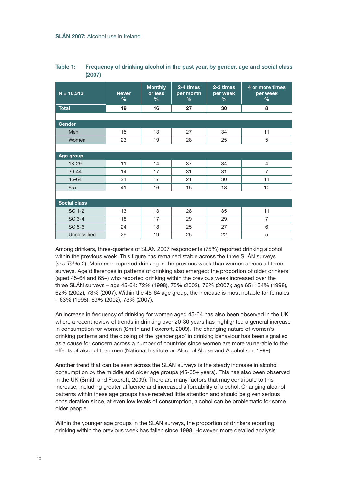| $N = 10,313$        | <b>Never</b><br>$\frac{9}{6}$ | <b>Monthly</b><br>or less<br>% | 2-4 times<br>per month<br>% | 2-3 times<br>per week<br>% | 4 or more times<br>per week<br>$\frac{0}{0}$ |
|---------------------|-------------------------------|--------------------------------|-----------------------------|----------------------------|----------------------------------------------|
| <b>Total</b>        | 19                            | 16                             | 27                          | 30                         | 8                                            |
|                     |                               |                                |                             |                            |                                              |
| <b>Gender</b>       |                               |                                |                             |                            |                                              |
| Men                 | 15                            | 13                             | 27                          | 34                         | 11                                           |
| Women               | 23                            | 19                             | 28                          | 25                         | 5                                            |
|                     |                               |                                |                             |                            |                                              |
| Age group           |                               |                                |                             |                            |                                              |
| 18-29               | 11                            | 14                             | 37                          | 34                         | $\overline{4}$                               |
| $30 - 44$           | 14                            | 17                             | 31                          | 31                         | $\overline{7}$                               |
| 45-64               | 21                            | 17                             | 21                          | 30                         | 11                                           |
| $65+$               | 41                            | 16                             | 15                          | 18                         | 10                                           |
|                     |                               |                                |                             |                            |                                              |
| <b>Social class</b> |                               |                                |                             |                            |                                              |
| <b>SC 1-2</b>       | 13                            | 13                             | 28                          | 35                         | 11                                           |
| <b>SC 3-4</b>       | 18                            | 17                             | 29                          | 29                         | $\overline{7}$                               |
| SC 5-6              | 24                            | 18                             | 25                          | 27                         | $6\phantom{1}$                               |
| Unclassified        | 29                            | 19                             | 25                          | 22                         | 5                                            |

#### Table 1: Frequency of drinking alcohol in the past year, by gender, age and social class (2007)

Among drinkers, three-quarters of SLÁN 2007 respondents (75%) reported drinking alcohol within the previous week. This figure has remained stable across the three SLÁN surveys (*see Table 2*). More men reported drinking in the previous week than women across all three surveys. Age differences in patterns of drinking also emerged: the proportion of older drinkers (aged 45-64 and 65+) who reported drinking within the previous week increased over the three SLÁN surveys – age 45-64: 72% (1998), 75% (2002), 76% (2007); age 65+: 54% (1998), 62% (2002), 73% (2007). Within the 45-64 age group, the increase is most notable for females – 63% (1998), 69% (2002), 73% (2007).

An increase in frequency of drinking for women aged 45-64 has also been observed in the UK, where a recent review of trends in drinking over 20-30 years has highlighted a general increase in consumption for women (Smith and Foxcroft, 2009). The changing nature of women's drinking patterns and the closing of the 'gender gap' in drinking behaviour has been signalled as a cause for concern across a number of countries since women are more vulnerable to the effects of alcohol than men (National Institute on Alcohol Abuse and Alcoholism, 1999).

Another trend that can be seen across the SLÁN surveys is the steady increase in alcohol consumption by the middle and older age groups (45-65+ years). This has also been observed in the UK (Smith and Foxcroft, 2009). There are many factors that may contribute to this increase, including greater affluence and increased affordability of alcohol. Changing alcohol patterns within these age groups have received little attention and should be given serious consideration since, at even low levels of consumption, alcohol can be problematic for some older people.

Within the younger age groups in the SLÁN surveys, the proportion of drinkers reporting drinking within the previous week has fallen since 1998. However, more detailed analysis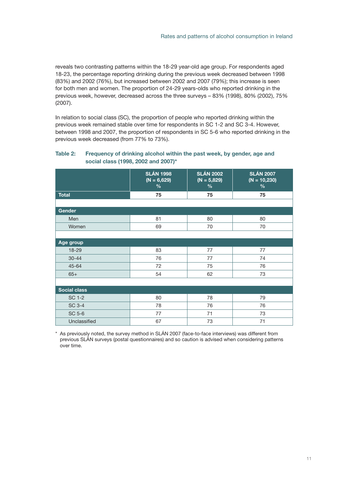reveals two contrasting patterns within the 18-29 year-old age group. For respondents aged 18-23, the percentage reporting drinking during the previous week decreased between 1998 (83%) and 2002 (76%), but increased between 2002 and 2007 (79%); this increase is seen for both men and women. The proportion of 24-29 years-olds who reported drinking in the previous week, however, decreased across the three surveys – 83% (1998), 80% (2002), 75% (2007).

In relation to social class (SC), the proportion of people who reported drinking within the previous week remained stable over time for respondents in SC 1-2 and SC 3-4. However, between 1998 and 2007, the proportion of respondents in SC 5-6 who reported drinking in the previous week decreased (from 77% to 73%).

|                     | <b>SLÁN 1998</b><br>$(N = 6,629)$<br>% | <b>SLÁN 2002</b><br>$(N = 5,829)$<br>$\frac{9}{6}$ | <b>SLÁN 2007</b><br>$(N = 10,230)$<br>$\frac{0}{6}$ |
|---------------------|----------------------------------------|----------------------------------------------------|-----------------------------------------------------|
| <b>Total</b>        | 75                                     | 75                                                 | 75                                                  |
|                     |                                        |                                                    |                                                     |
| <b>Gender</b>       |                                        |                                                    |                                                     |
| Men                 | 81                                     | 80                                                 | 80                                                  |
| Women               | 69                                     | 70                                                 | 70                                                  |
|                     |                                        |                                                    |                                                     |
| Age group           |                                        |                                                    |                                                     |
| 18-29               | 83                                     | 77                                                 | 77                                                  |
| $30 - 44$           | 76                                     | 77                                                 | 74                                                  |
| 45-64               | 72                                     | 75                                                 | 76                                                  |
| $65+$               | 54                                     | 62                                                 | 73                                                  |
|                     |                                        |                                                    |                                                     |
| <b>Social class</b> |                                        |                                                    |                                                     |
| <b>SC 1-2</b>       | 80                                     | 78                                                 | 79                                                  |
| <b>SC 3-4</b>       | 78                                     | 76                                                 | 76                                                  |
| SC 5-6              | 77                                     | 71                                                 | 73                                                  |
| Unclassified        | 67                                     | 73                                                 | 71                                                  |

#### Table 2: Frequency of drinking alcohol within the past week, by gender, age and social class (1998, 2002 and 2007)\*

\* As previously noted, the survey method in SLÁN 2007 (face-to-face interviews) was different from previous SLÁN surveys (postal questionnaires) and so caution is advised when considering patterns over time.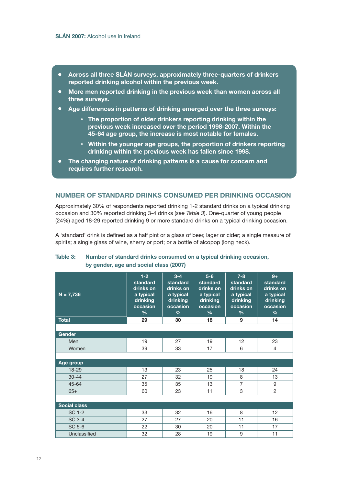- Across all three SLÁN surveys, approximately three-quarters of drinkers reported drinking alcohol within the previous week.
- More men reported drinking in the previous week than women across all three surveys.
- Age differences in patterns of drinking emerged over the three surveys:
	- $\degree$  The proportion of older drinkers reporting drinking within the previous week increased over the period 1998-2007. Within the 45-64 age group, the increase is most notable for females.
	- $\circ$  Within the younger age groups, the proportion of drinkers reporting drinking within the previous week has fallen since 1998.
- The changing nature of drinking patterns is a cause for concern and requires further research.

#### Number of standard drinks consumed per drinking occasion

Approximately 30% of respondents reported drinking 1-2 standard drinks on a typical drinking occasion and 30% reported drinking 3-4 drinks (*see Table 3*). One-quarter of young people (24%) aged 18-29 reported drinking 9 or more standard drinks on a typical drinking occasion.

A 'standard' drink is defined as a half pint or a glass of beer, lager or cider; a single measure of spirits; a single glass of wine, sherry or port; or a bottle of alcopop (long neck).

| $N = 7,736$         | $1-2$<br>standard<br>drinks on<br>a typical<br>drinking<br>occasion<br>$\frac{0}{0}$ | $3 - 4$<br>standard<br>drinks on<br>a typical<br>drinking<br>occasion<br>$\frac{0}{0}$ | $5-6$<br>standard<br>drinks on<br>a typical<br>drinking<br>occasion<br>$\frac{0}{0}$ | $7 - 8$<br>standard<br>drinks on<br>a typical<br>drinking<br>occasion<br>$\frac{0}{0}$ | $9+$<br>standard<br>drinks on<br>a typical<br>drinking<br>occasion<br>$\frac{0}{0}$ |
|---------------------|--------------------------------------------------------------------------------------|----------------------------------------------------------------------------------------|--------------------------------------------------------------------------------------|----------------------------------------------------------------------------------------|-------------------------------------------------------------------------------------|
| <b>Total</b>        | 29                                                                                   | 30                                                                                     | 18                                                                                   | 9                                                                                      | 14                                                                                  |
|                     |                                                                                      |                                                                                        |                                                                                      |                                                                                        |                                                                                     |
| <b>Gender</b>       |                                                                                      |                                                                                        |                                                                                      |                                                                                        |                                                                                     |
| Men                 | 19                                                                                   | 27                                                                                     | 19                                                                                   | 12                                                                                     | 23                                                                                  |
| Women               | 39                                                                                   | 33                                                                                     | 17                                                                                   | 6                                                                                      | $\overline{4}$                                                                      |
|                     |                                                                                      |                                                                                        |                                                                                      |                                                                                        |                                                                                     |
| Age group           |                                                                                      |                                                                                        |                                                                                      |                                                                                        |                                                                                     |
| 18-29               | 13                                                                                   | 23                                                                                     | 25                                                                                   | 18                                                                                     | 24                                                                                  |
| $30 - 44$           | 27                                                                                   | 32                                                                                     | 19                                                                                   | 8                                                                                      | 13                                                                                  |
| $45 - 64$           | 35                                                                                   | 35                                                                                     | 13                                                                                   | $\overline{7}$                                                                         | 9                                                                                   |
| $65+$               | 60                                                                                   | 23                                                                                     | 11                                                                                   | 3                                                                                      | 2                                                                                   |
|                     |                                                                                      |                                                                                        |                                                                                      |                                                                                        |                                                                                     |
| <b>Social class</b> |                                                                                      |                                                                                        |                                                                                      |                                                                                        |                                                                                     |
| SC 1-2              | 33                                                                                   | 32                                                                                     | 16                                                                                   | 8                                                                                      | 12                                                                                  |
| SC 3-4              | 27                                                                                   | 27                                                                                     | 20                                                                                   | 11                                                                                     | 16                                                                                  |
| SC 5-6              | 22                                                                                   | 30                                                                                     | 20                                                                                   | 11                                                                                     | 17                                                                                  |
| Unclassified        | 32                                                                                   | 28                                                                                     | 19                                                                                   | 9                                                                                      | 11                                                                                  |

#### Table 3: Number of standard drinks consumed on a typical drinking occasion, by gender, age and social class (2007)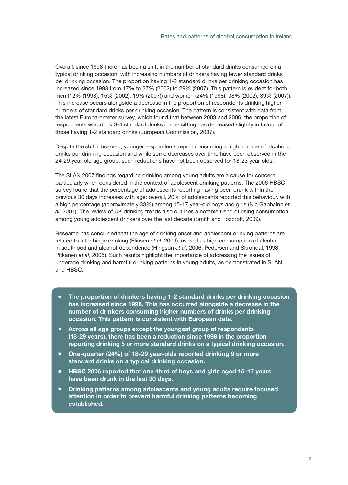Overall, since 1998 there has been a shift in the number of standard drinks consumed on a typical drinking occasion, with increasing numbers of drinkers having fewer standard drinks per drinking occasion. The proportion having 1-2 standard drinks per drinking occasion has increased since 1998 from 17% to 27% (2002) to 29% (2007). This pattern is evident for both men (12% (1998), 15% (2002), 19% (2007)) and women (24% (1998), 38% (2002), 39% (2007)). This increase occurs alongside a decrease in the proportion of respondents drinking higher numbers of standard drinks per drinking occasion. The pattern is consistent with data from the latest Eurobarometer survey, which found that between 2003 and 2006, the proportion of respondents who drink 3-4 standard drinks in one sitting has decreased slightly in favour of those having 1-2 standard drinks (European Commission, 2007).

Despite the shift observed, younger respondents report consuming a high number of alcoholic drinks per drinking occasion and while some decreases over time have been observed in the 24-29 year-old age group, such reductions have not been observed for 18-23 year-olds.

The SLÁN 2007 findings regarding drinking among young adults are a cause for concern, particularly when considered in the context of adolescent drinking patterns. The 2006 HBSC survey found that the percentage of adolescents reporting having been drunk within the previous 30 days increases with age: overall, 20% of adolescents reported this behaviour, with a high percentage (approximately 33%) among 15-17 year-old boys and girls (Nic Gabhainn *et al,* 2007). The review of UK drinking trends also outlines a notable trend of rising consumption among young adolescent drinkers over the last decade (Smith and Foxcroft, 2009).

Research has concluded that the age of drinking onset and adolescent drinking patterns are related to later binge drinking (Eliasen *et al*, 2009), as well as high consumption of alcohol in adulthood and alcohol-dependence (Hingson *et al*, 2006; Pedersen and Skrondal, 1998; Pitkanen *et al*, 2005). Such results highlight the importance of addressing the issues of underage drinking and harmful drinking patterns in young adults, as demonstrated in SLÁN and HBSC.

- The proportion of drinkers having 1-2 standard drinks per drinking occasion has increased since 1998. This has occurred alongside a decrease in the number of drinkers consuming higher numbers of drinks per drinking occasion. This pattern is consistent with European data.
- Across all age groups except the youngest group of respondents (18-29 years), there has been a reduction since 1998 in the proportion reporting drinking 5 or more standard drinks on a typical drinking occasion.
- One-quarter (24%) of 18-29 year-olds reported drinking 9 or more standard drinks on a typical drinking occasion.
- HBSC 2006 reported that one-third of boys and girls aged 15-17 years have been drunk in the last 30 days.
- Drinking patterns among adolescents and young adults require focused attention in order to prevent harmful drinking patterns becoming established.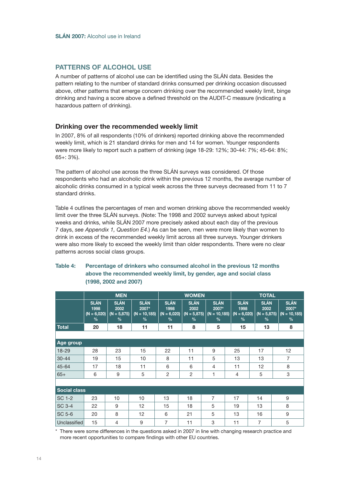#### PATTERNS OF ALCOHOL USE

A number of patterns of alcohol use can be identified using the SLÁN data. Besides the pattern relating to the number of standard drinks consumed per drinking occasion discussed above, other patterns that emerge concern drinking over the recommended weekly limit, binge drinking and having a score above a defined threshold on the AUDIT-C measure (indicating a hazardous pattern of drinking).

#### Drinking over the recommended weekly limit

In 2007, 8% of all respondents (10% of drinkers) reported drinking above the recommended weekly limit, which is 21 standard drinks for men and 14 for women. Younger respondents were more likely to report such a pattern of drinking (age 18-29: 12%; 30-44: 7%; 45-64: 8%; 65+: 3%).

The pattern of alcohol use across the three SLÁN surveys was considered. Of those respondents who had an alcoholic drink within the previous 12 months, the average number of alcoholic drinks consumed in a typical week across the three surveys decreased from 11 to 7 standard drinks.

Table 4 outlines the percentages of men and women drinking above the recommended weekly limit over the three SLÁN surveys. (Note: The 1998 and 2002 surveys asked about typical weeks and drinks, while SLÁN 2007 more precisely asked about each day of the previous 7 days, *see Appendix 1, Question E4*.) As can be seen, men were more likely than women to drink in excess of the recommended weekly limit across all three surveys. Younger drinkers were also more likely to exceed the weekly limit than older respondents. There were no clear patterns across social class groups.

#### Table 4: Percentage of drinkers who consumed alcohol in the previous 12 months above the recommended weekly limit, by gender, age and social class (1998, 2002 and 2007)

|                     | <b>MEN</b>                                   |                                              |                                                 | <b>WOMEN</b>                                 |                                              |                                                          | <b>TOTAL</b>                                 |                                              |                                                 |
|---------------------|----------------------------------------------|----------------------------------------------|-------------------------------------------------|----------------------------------------------|----------------------------------------------|----------------------------------------------------------|----------------------------------------------|----------------------------------------------|-------------------------------------------------|
|                     | <b>SLÁN</b><br>1998<br>$(N = 6,020)$<br>$\%$ | <b>SLÁN</b><br>2002<br>$(N = 5,875)$<br>$\%$ | <b>SLÁN</b><br>2007*<br>$(N = 10, 185)$<br>$\%$ | <b>SLÁN</b><br>1998<br>$(N = 6,020)$<br>$\%$ | <b>SLÁN</b><br>2002<br>$(N = 5,875)$<br>$\%$ | <b>SLÁN</b><br>2007*<br>$(N = 10, 185)$<br>$\frac{0}{0}$ | <b>SLÁN</b><br>1998<br>$(N = 6,020)$<br>$\%$ | <b>SLÁN</b><br>2002<br>$(N = 5,875)$<br>$\%$ | <b>SLÁN</b><br>2007*<br>$(N = 10, 185)$<br>$\%$ |
| Total               | 20                                           | 18                                           | 11                                              | 11                                           | 8                                            | 5                                                        | 15                                           | 13                                           | 8                                               |
|                     |                                              |                                              |                                                 |                                              |                                              |                                                          |                                              |                                              |                                                 |
| Age group           |                                              |                                              |                                                 |                                              |                                              |                                                          |                                              |                                              |                                                 |
| $18 - 29$           | 28                                           | 23                                           | 15                                              | 22                                           | 11                                           | 9                                                        | 25                                           | 17                                           | 12                                              |
| $30 - 44$           | 19                                           | 15                                           | 10                                              | 8                                            | 11                                           | 5                                                        | 13                                           | 13                                           | $\overline{7}$                                  |
| 45-64               | 17                                           | 18                                           | 11                                              | 6                                            | 6                                            | $\overline{4}$                                           | 11                                           | 12                                           | 8                                               |
| $65+$               | 6                                            | 9                                            | 5                                               | 2                                            | 2                                            | 1                                                        | 4                                            | 5                                            | 3                                               |
|                     |                                              |                                              |                                                 |                                              |                                              |                                                          |                                              |                                              |                                                 |
| <b>Social class</b> |                                              |                                              |                                                 |                                              |                                              |                                                          |                                              |                                              |                                                 |
| SC 1-2              | 23                                           | 10                                           | 10                                              | 13                                           | 18                                           | 7                                                        | 17                                           | 14                                           | 9                                               |
| SC 3-4              | 22                                           | 9                                            | 12                                              | 15                                           | 18                                           | 5                                                        | 19                                           | 13                                           | 8                                               |
| SC 5-6              | 20                                           | 8                                            | 12                                              | 6                                            | 21                                           | 5                                                        | 13                                           | 16                                           | 9                                               |
| Unclassified        | 15                                           | 4                                            | 9                                               | $\overline{7}$                               | 11                                           | 3                                                        | 11                                           | 7                                            | 5                                               |

There were some differences in the questions asked in 2007 in line with changing research practice and more recent opportunities to compare findings with other EU countries.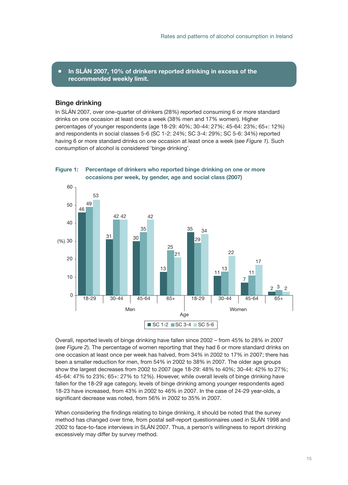#### • In SLÁN 2007, 10% of drinkers reported drinking in excess of the recommended weekly limit.

#### Binge drinking

In SLÁN 2007, over one-quarter of drinkers (28%) reported consuming 6 or more standard drinks on one occasion at least once a week (38% men and 17% women). Higher percentages of younger respondents (age 18-29: 40%; 30-44: 27%; 45-64: 23%; 65+: 12%) and respondents in social classes 5-6 (SC 1-2: 24%; SC 3-4: 29%; SC 5-6: 34%) reported having 6 or more standard drinks on one occasion at least once a week (*see Figure 1*). Such consumption of alcohol is considered 'binge drinking'.





Overall, reported levels of binge drinking have fallen since 2002 – from 45% to 28% in 2007 (*see Figure 2*). The percentage of women reporting that they had 6 or more standard drinks on one occasion at least once per week has halved, from 34% in 2002 to 17% in 2007; there has been a smaller reduction for men, from 54% in 2002 to 38% in 2007. The older age groups show the largest decreases from 2002 to 2007 (age 18-29: 48% to 40%; 30-44: 42% to 27%; 45-64: 47% to 23%; 65+: 27% to 12%). However, while overall levels of binge drinking have fallen for the 18-29 age category, levels of binge drinking among younger respondents aged 18-23 have increased, from 43% in 2002 to 46% in 2007. In the case of 24-29 year-olds, a significant decrease was noted, from 56% in 2002 to 35% in 2007.

When considering the findings relating to binge drinking, it should be noted that the survey method has changed over time, from postal self-report questionnaires used in SLÁN 1998 and 2002 to face-to-face interviews in SLÁN 2007. Thus, a person's willingness to report drinking excessively may differ by survey method.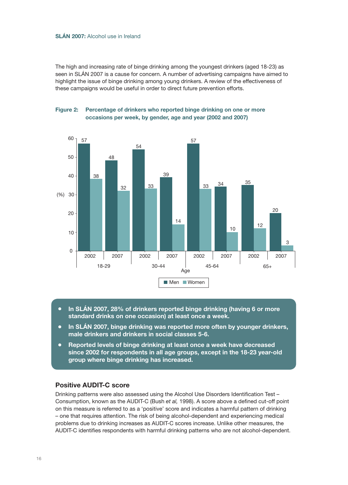#### SLÁN 2007: Alcohol use in Ireland

The high and increasing rate of binge drinking among the youngest drinkers (aged 18-23) as seen in SLÁN 2007 is a cause for concern. A number of advertising campaigns have aimed to highlight the issue of binge drinking among young drinkers. A review of the effectiveness of these campaigns would be useful in order to direct future prevention efforts.



#### Figure 2: Percentage of drinkers who reported binge drinking on one or more occasions per week, by gender, age and year (2002 and 2007)

- In SLÁN 2007, 28% of drinkers reported binge drinking (having 6 or more standard drinks on one occasion) at least once a week.
- In SLÁN 2007, binge drinking was reported more often by younger drinkers, male drinkers and drinkers in social classes 5-6.
- Reported levels of binge drinking at least once a week have decreased since 2002 for respondents in all age groups, except in the 18-23 year-old group where binge drinking has increased.

#### Positive AUDIT-C score

Drinking patterns were also assessed using the Alcohol Use Disorders Identification Test – Consumption, known as the AUDIT-C (Bush *et al,* 1998). A score above a defined cut-off point on this measure is referred to as a 'positive' score and indicates a harmful pattern of drinking – one that requires attention. The risk of being alcohol-dependent and experiencing medical problems due to drinking increases as AUDIT-C scores increase. Unlike other measures, the AUDIT-C identifies respondents with harmful drinking patterns who are not alcohol-dependent.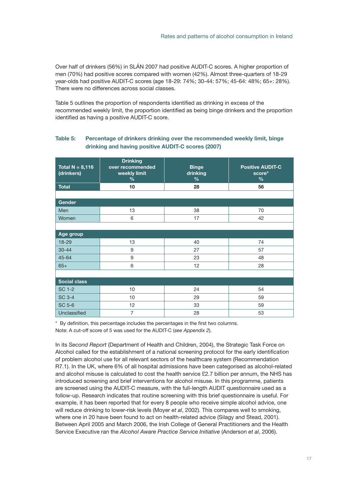Over half of drinkers (56%) in SLÁN 2007 had positive AUDIT-C scores. A higher proportion of men (70%) had positive scores compared with women (42%). Almost three-quarters of 18-29 year-olds had positive AUDIT-C scores (age 18-29: 74%; 30-44: 57%; 45-64: 48%; 65+: 28%). There were no differences across social classes.

Table 5 outlines the proportion of respondents identified as drinking in excess of the recommended weekly limit, the proportion identified as being binge drinkers and the proportion identified as having a positive AUDIT-C score.

#### Table 5: Percentage of drinkers drinking over the recommended weekly limit, binge drinking and having positive AUDIT-C scores (2007)

| Total N = $8,116$<br>(drinkers) | <b>Drinking</b><br>over recommended<br>weekly limit<br>% | <b>Binge</b><br>drinking<br>% | <b>Positive AUDIT-C</b><br>score*<br>$\frac{9}{6}$ |  |  |  |
|---------------------------------|----------------------------------------------------------|-------------------------------|----------------------------------------------------|--|--|--|
| <b>Total</b><br>10              |                                                          | 28                            | 56                                                 |  |  |  |
|                                 |                                                          |                               |                                                    |  |  |  |
| <b>Gender</b>                   |                                                          |                               |                                                    |  |  |  |
| Men                             | 13                                                       | 38                            | 70                                                 |  |  |  |
| Women                           | 6                                                        | 17                            | 42                                                 |  |  |  |
|                                 |                                                          |                               |                                                    |  |  |  |
| Age group                       |                                                          |                               |                                                    |  |  |  |
| 18-29                           | 13                                                       | 40                            | 74                                                 |  |  |  |
| $30 - 44$                       | 9                                                        | 27                            | 57                                                 |  |  |  |
| 45-64                           | 9                                                        | 23                            | 48                                                 |  |  |  |
| $65+$                           | 6                                                        | 12                            | 28                                                 |  |  |  |
|                                 |                                                          |                               |                                                    |  |  |  |
| <b>Social class</b>             |                                                          |                               |                                                    |  |  |  |
| <b>SC 1-2</b>                   | 10                                                       | 24                            | 54                                                 |  |  |  |
| <b>SC 3-4</b>                   | 10                                                       | 29                            | 59                                                 |  |  |  |
| <b>SC 5-6</b>                   | 12                                                       | 33                            | 59                                                 |  |  |  |
| Unclassified                    | $\overline{7}$                                           | 28                            | 53                                                 |  |  |  |

\* By definition, this percentage includes the percentages in the first two columns. Note: A cut-off score of 5 was used for the AUDIT-C (*see Appendix 2*).

In its *Second Report* (Department of Health and Children, 2004), the Strategic Task Force on Alcohol called for the establishment of a national screening protocol for the early identification of problem alcohol use for all relevant sectors of the healthcare system (Recommendation R7.1). In the UK, where 6% of all hospital admissions have been categorised as alcohol-related and alcohol misuse is calculated to cost the health service £2.7 billion per annum, the NHS has introduced screening and brief interventions for alcohol misuse. In this programme, patients are screened using the AUDIT-C measure, with the full-length AUDIT questionnaire used as a follow-up. Research indicates that routine screening with this brief questionnaire is useful. For example, it has been reported that for every 8 people who receive simple alcohol advice, one will reduce drinking to lower-risk levels (Moyer *et al*, 2002). This compares well to smoking, where one in 20 have been found to act on health-related advice (Silagy and Stead, 2001). Between April 2005 and March 2006, the Irish College of General Practitioners and the Health Service Executive ran the *Alcohol Aware Practice Service Initiative* (Anderson *et al*, 2006).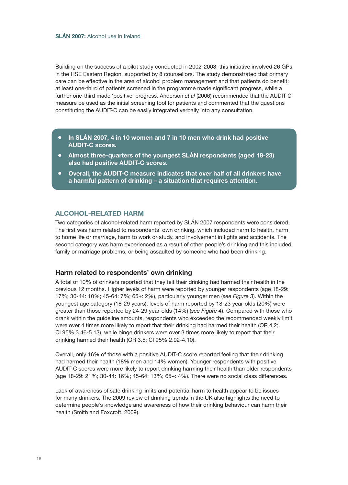Building on the success of a pilot study conducted in 2002-2003, this initiative involved 26 GPs in the HSE Eastern Region, supported by 8 counsellors. The study demonstrated that primary care can be effective in the area of alcohol problem management and that patients do benefit: at least one-third of patients screened in the programme made significant progress, while a further one-third made 'positive' progress. Anderson *et al* (2006) recommended that the AUDIT-C measure be used as the initial screening tool for patients and commented that the questions constituting the AUDIT-C can be easily integrated verbally into any consultation.

- In SLÁN 2007, 4 in 10 women and 7 in 10 men who drink had positive AUDIT-C scores.
- Almost three-quarters of the youngest SLÁN respondents (aged 18-23) also had positive AUDIT-C scores.
- Overall, the AUDIT-C measure indicates that over half of all drinkers have a harmful pattern of drinking – a situation that requires attention.

#### Alcohol-related harm

Two categories of alcohol-related harm reported by SLÁN 2007 respondents were considered. The first was harm related to respondents' own drinking, which included harm to health, harm to home life or marriage, harm to work or study, and involvement in fights and accidents. The second category was harm experienced as a result of other people's drinking and this included family or marriage problems, or being assaulted by someone who had been drinking.

#### Harm related to respondents' own drinking

A total of 10% of drinkers reported that they felt their drinking had harmed their health in the previous 12 months. Higher levels of harm were reported by younger respondents (age 18-29: 17%; 30-44: 10%; 45-64: 7%; 65+: 2%), particularly younger men (*see Figure 3*). Within the youngest age category (18-29 years), levels of harm reported by 18-23 year-olds (20%) were greater than those reported by 24-29 year-olds (14%) (*see Figure 4*). Compared with those who drank within the guideline amounts, respondents who exceeded the recommended weekly limit were over 4 times more likely to report that their drinking had harmed their health (OR 4.2; CI 95% 3.46-5.13), while binge drinkers were over 3 times more likely to report that their drinking harmed their health (OR 3.5; CI 95% 2.92-4.10).

Overall, only 16% of those with a positive AUDIT-C score reported feeling that their drinking had harmed their health (18% men and 14% women). Younger respondents with positive AUDIT-C scores were more likely to report drinking harming their health than older respondents (age 18-29: 21%; 30-44: 16%; 45-64: 13%; 65+: 4%). There were no social class differences.

Lack of awareness of safe drinking limits and potential harm to health appear to be issues for many drinkers. The 2009 review of drinking trends in the UK also highlights the need to determine people's knowledge and awareness of how their drinking behaviour can harm their health (Smith and Foxcroft, 2009).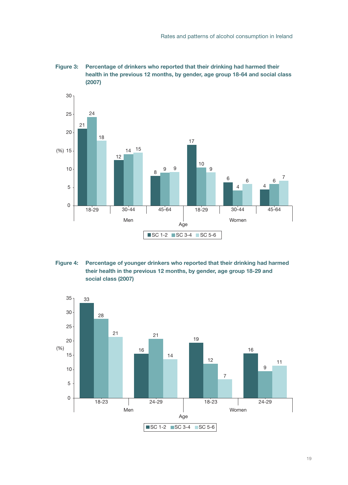



Figure 4: Percentage of younger drinkers who reported that their drinking had harmed their health in the previous 12 months, by gender, age group 18-29 and social class (2007)

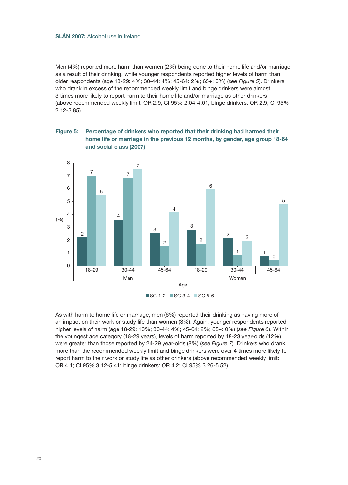#### SLÁN 2007: Alcohol use in Ireland

Men (4%) reported more harm than women (2%) being done to their home life and/or marriage as a result of their drinking, while younger respondents reported higher levels of harm than older respondents (age 18-29: 4%; 30-44: 4%; 45-64: 2%; 65+: 0%) (*see Figure 5*). Drinkers who drank in excess of the recommended weekly limit and binge drinkers were almost 3 times more likely to report harm to their home life and/or marriage as other drinkers (above recommended weekly limit: OR 2.9; CI 95% 2.04-4.01; binge drinkers: OR 2.9; CI 95% 2.12-3.85).



Figure 5: Percentage of drinkers who reported that their drinking had harmed their home life or marriage in the previous 12 months, by gender, age group 18-64 and social class (2007)

As with harm to home life or marriage, men (6%) reported their drinking as having more of an impact on their work or study life than women (3%). Again, younger respondents reported higher levels of harm (age 18-29: 10%; 30-44: 4%; 45-64: 2%; 65+: 0%) (*see Figure 6*). Within the youngest age category (18-29 years), levels of harm reported by 18-23 year-olds (12%) were greater than those reported by 24-29 year-olds (8%) (*see Figure 7*). Drinkers who drank more than the recommended weekly limit and binge drinkers were over 4 times more likely to report harm to their work or study life as other drinkers (above recommended weekly limit: OR 4.1; CI 95% 3.12-5.41; binge drinkers: OR 4.2; CI 95% 3.26-5.52).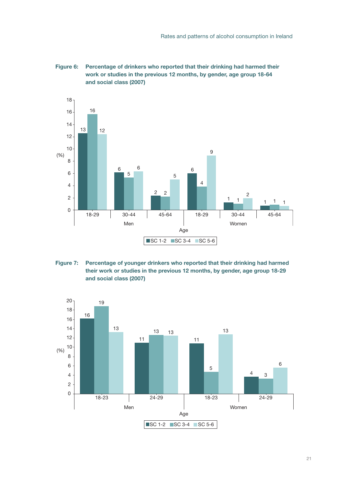



Figure 7: Percentage of younger drinkers who reported that their drinking had harmed their work or studies in the previous 12 months, by gender, age group 18-29 and social class (2007)

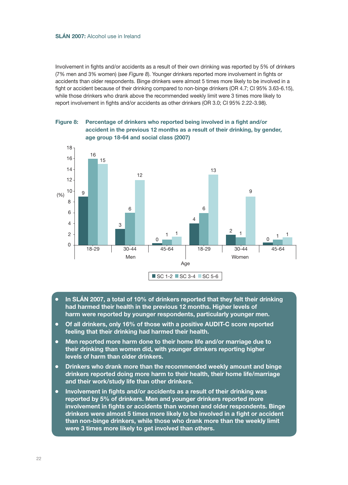#### SLÁN 2007: Alcohol use in Ireland

Involvement in fights and/or accidents as a result of their own drinking was reported by 5% of drinkers (7% men and 3% women) (*see Figure 8*). Younger drinkers reported more involvement in fights or accidents than older respondents. Binge drinkers were almost 5 times more likely to be involved in a fight or accident because of their drinking compared to non-binge drinkers (OR 4.7; CI 95% 3.63-6.15), while those drinkers who drank above the recommended weekly limit were 3 times more likely to report involvement in fights and/or accidents as other drinkers (OR 3.0; CI 95% 2.22-3.98).



#### Figure 8: Percentage of drinkers who reported being involved in a fight and/or accident in the previous 12 months as a result of their drinking, by gender, age group 18-64 and social class (2007)

- In SLÁN 2007, a total of 10% of drinkers reported that they felt their drinking had harmed their health in the previous 12 months. Higher levels of harm were reported by younger respondents, particularly younger men.
- Of all drinkers, only 16% of those with a positive AUDIT-C score reported feeling that their drinking had harmed their health.
- Men reported more harm done to their home life and/or marriage due to their drinking than women did, with younger drinkers reporting higher levels of harm than older drinkers.
- Drinkers who drank more than the recommended weekly amount and binge drinkers reported doing more harm to their health, their home life/marriage and their work/study life than other drinkers.
- Involvement in fights and/or accidents as a result of their drinking was reported by 5% of drinkers. Men and younger drinkers reported more involvement in fights or accidents than women and older respondents. Binge drinkers were almost 5 times more likely to be involved in a fight or accident than non-binge drinkers, while those who drank more than the weekly limit were 3 times more likely to get involved than others.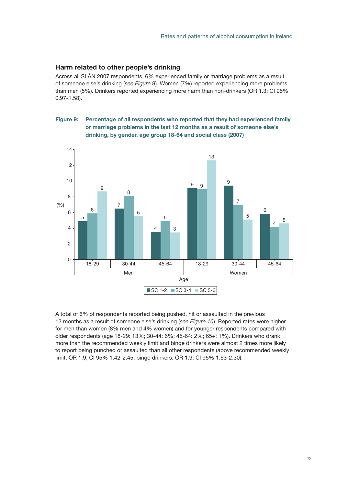#### Harm related to other people's drinking

Across all SLÁN 2007 respondents, 6% experienced family or marriage problems as a result of someone else's drinking (*see Figure 9*). Women (7%) reported experiencing more problems than men (5%). Drinkers reported experiencing more harm than non-drinkers (OR 1.3; CI 95% 0.97-1.58).

#### Figure 9: Percentage of all respondents who reported that they had experienced family or marriage problems in the last 12 months as a result of someone else's drinking, by gender, age group 18-64 and social class (2007)



A total of 6% of respondents reported being pushed, hit or assaulted in the previous 12 months as a result of someone else's drinking (*see Figure 10*). Reported rates were higher for men than women (8% men and 4% women) and for younger respondents compared with older respondents (age 18-29: 13%; 30-44: 6%; 45-64: 2%; 65+: 1%). Drinkers who drank more than the recommended weekly limit and binge drinkers were almost 2 times more likely to report being punched or assaulted than all other respondents (above recommended weekly limit: OR 1.9; CI 95% 1.42-2.45; binge drinkers: OR 1.9; CI 95% 1.53-2.30).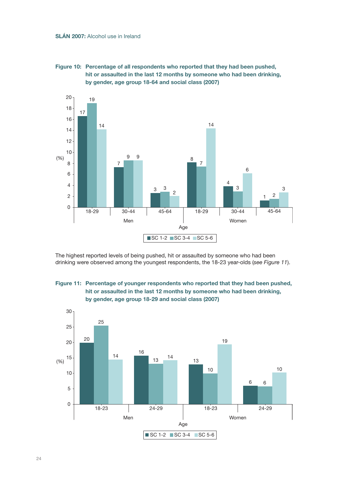#### Figure 10: Percentage of all respondents who reported that they had been pushed, hit or assaulted in the last 12 months by someone who had been drinking, by gender, age group 18-64 and social class (2007)



The highest reported levels of being pushed, hit or assaulted by someone who had been drinking were observed among the youngest respondents, the 18-23 year-olds (*see Figure 11*).



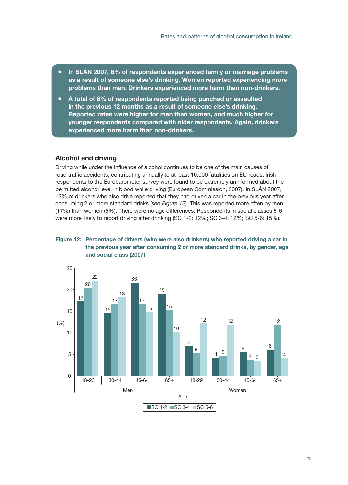- In SLÁN 2007, 6% of respondents experienced family or marriage problems as a result of someone else's drinking. Women reported experiencing more problems than men. Drinkers experienced more harm than non-drinkers.
- A total of 6% of respondents reported being punched or assaulted in the previous 12 months as a result of someone else's drinking. Reported rates were higher for men than women, and much higher for younger respondents compared with older respondents. Again, drinkers experienced more harm than non-drinkers.

#### Alcohol and driving

Driving while under the influence of alcohol continues to be one of the main causes of road traffic accidents, contributing annually to at least 10,000 fatalities on EU roads. Irish respondents to the Eurobarometer survey were found to be extremely uninformed about the permitted alcohol level in blood while driving (European Commission, 2007). In SLÁN 2007, 12% of drinkers who also drive reported that they had driven a car in the previous year after consuming 2 or more standard drinks (*see Figure 12*). This was reported more often by men (17%) than women (5%). There were no age differences. Respondents in social classes 5-6 were more likely to report driving after drinking (SC 1-2: 12%; SC 3-4: 12%; SC 5-6: 15%).

#### Figure 12: Percentage of drivers (who were also drinkers) who reported driving a car in the previous year after consuming 2 or more standard drinks, by gender, age and social class (2007)

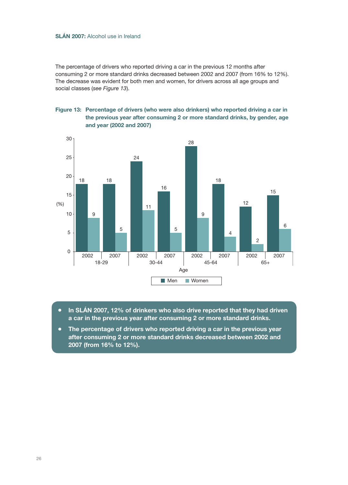#### Slán 2007: Alcohol use in Ireland

The percentage of drivers who reported driving a car in the previous 12 months after consuming 2 or more standard drinks decreased between 2002 and 2007 (from 16% to 12%). The decrease was evident for both men and women, for drivers across all age groups and social classes (*see Figure 13*).





- In SLÁN 2007, 12% of drinkers who also drive reported that they had driven a car in the previous year after consuming 2 or more standard drinks.
- The percentage of drivers who reported driving a car in the previous year after consuming 2 or more standard drinks decreased between 2002 and 2007 (from 16% to 12%).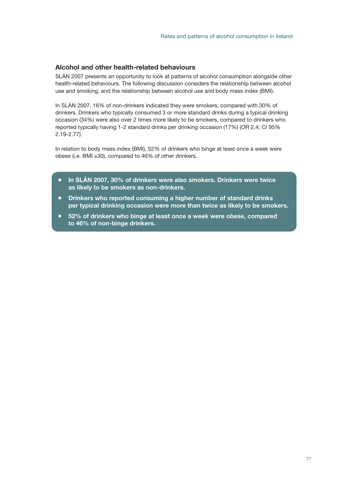#### Alcohol and other health-related behaviours

SLÁN 2007 presents an opportunity to look at patterns of alcohol consumption alongside other health-related behaviours. The following discussion considers the relationship between alcohol use and smoking, and the relationship between alcohol use and body mass index (BMI).

In SLÁN 2007, 16% of non-drinkers indicated they were smokers, compared with 30% of drinkers. Drinkers who typically consumed 3 or more standard drinks during a typical drinking occasion (34%) were also over 2 times more likely to be smokers, compared to drinkers who reported typically having 1-2 standard drinks per drinking occasion (17%) (OR 2.4; CI 95% 2.19-2.77).

In relation to body mass index (BMI), 52% of drinkers who binge at least once a week were obese (i.e. BMI ≥30), compared to 46% of other drinkers.

- In SLÁN 2007, 30% of drinkers were also smokers. Drinkers were twice as likely to be smokers as non-drinkers.
- Drinkers who reported consuming a higher number of standard drinks per typical drinking occasion were more than twice as likely to be smokers.
- 52% of drinkers who binge at least once a week were obese, compared to 46% of non-binge drinkers.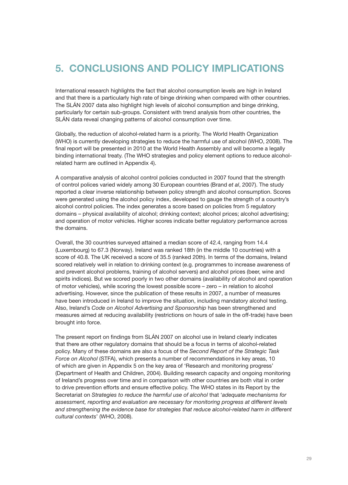# 5. Conclusions and Policy Implications

International research highlights the fact that alcohol consumption levels are high in Ireland and that there is a particularly high rate of binge drinking when compared with other countries. The SLÁN 2007 data also highlight high levels of alcohol consumption and binge drinking, particularly for certain sub-groups. Consistent with trend analysis from other countries, the SLÁN data reveal changing patterns of alcohol consumption over time.

Globally, the reduction of alcohol-related harm is a priority. The World Health Organization (WHO) is currently developing strategies to reduce the harmful use of alcohol (WHO, 2008). The final report will be presented in 2010 at the World Health Assembly and will become a legally binding international treaty. (The WHO strategies and policy element options to reduce alcoholrelated harm are outlined in Appendix 4).

A comparative analysis of alcohol control policies conducted in 2007 found that the strength of control polices varied widely among 30 European countries (Brand *et al*, 2007). The study reported a clear inverse relationship between policy strength and alcohol consumption. Scores were generated using the alcohol policy index, developed to gauge the strength of a country's alcohol control policies. The index generates a score based on policies from 5 regulatory domains – physical availability of alcohol; drinking context; alcohol prices; alcohol advertising; and operation of motor vehicles. Higher scores indicate better regulatory performance across the domains.

Overall, the 30 countries surveyed attained a median score of 42.4, ranging from 14.4 (Luxembourg) to 67.3 (Norway). Ireland was ranked 18th (in the middle 10 countries) with a score of 40.8. The UK received a score of 35.5 (ranked 20th). In terms of the domains, Ireland scored relatively well in relation to drinking context (e.g. programmes to increase awareness of and prevent alcohol problems, training of alcohol servers) and alcohol prices (beer, wine and spirits indices). But we scored poorly in two other domains (availability of alcohol and operation of motor vehicles), while scoring the lowest possible score – zero – in relation to alcohol advertising. However, since the publication of these results in 2007, a number of measures have been introduced in Ireland to improve the situation, including mandatory alcohol testing. Also, Ireland's *Code on Alcohol Advertising and Sponsorship* has been strengthened and measures aimed at reducing availability (restrictions on hours of sale in the off-trade) have been brought into force.

The present report on findings from SLÁN 2007 on alcohol use in Ireland clearly indicates that there are other regulatory domains that should be a focus in terms of alcohol-related policy. Many of these domains are also a focus of the *Second Report of the Strategic Task Force on Alcohol* (STFA), which presents a number of recommendations in key areas, 10 of which are given in Appendix 5 on the key area of 'Research and monitoring progress' (Department of Health and Children, 2004). Building research capacity and ongoing monitoring of Ireland's progress over time and in comparison with other countries are both vital in order to drive prevention efforts and ensure effective policy. The WHO states in its Report by the Secretariat on *Strategies to reduce the harmful use of alcohol* that '*adequate mechanisms for assessment, reporting and evaluation are necessary for monitoring progress at different levels and strengthening the evidence base for strategies that reduce alcohol-related harm in different cultural contexts*' (WHO, 2008).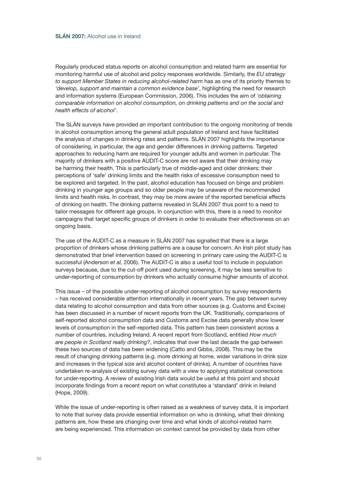Regularly produced status reports on alcohol consumption and related harm are essential for monitoring harmful use of alcohol and policy responses worldwide. Similarly, the *EU strategy to support Member States in reducing alcohol-related harm* has as one of its priority themes to *'develop, support and maintain a common evidence base'*, highlighting the need for research and information systems (European Commission, 2006). This includes the aim of *'obtaining comparable information on alcohol consumption, on drinking patterns and on the social and health effects of alcohol'*.

The SLÁN surveys have provided an important contribution to the ongoing monitoring of trends in alcohol consumption among the general adult population of Ireland and have facilitated the analysis of changes in drinking rates and patterns. SLÁN 2007 highlights the importance of considering, in particular, the age and gender differences in drinking patterns. Targeted approaches to reducing harm are required for younger adults and women in particular. The majority of drinkers with a positive AUDIT-C score are not aware that their drinking may be harming their health. This is particularly true of middle-aged and older drinkers; their perceptions of 'safe' drinking limits and the health risks of excessive consumption need to be explored and targeted. In the past, alcohol education has focused on binge and problem drinking in younger age groups and so older people may be unaware of the recommended limits and health risks. In contrast, they may be more aware of the reported beneficial effects of drinking on health. The drinking patterns revealed in SLÁN 2007 thus point to a need to tailor messages for different age groups. In conjunction with this, there is a need to monitor campaigns that target specific groups of drinkers in order to evaluate their effectiveness on an ongoing basis.

The use of the AUDIT-C as a measure in SLÁN 2007 has signalled that there is a large proportion of drinkers whose drinking patterns are a cause for concern. An Irish pilot study has demonstrated that brief intervention based on screening in primary care using the AUDIT-C is successful (Anderson *et al,* 2006). The AUDIT-C is also a useful tool to include in population surveys because, due to the cut-off point used during screening, it may be less sensitive to under-reporting of consumption by drinkers who actually consume higher amounts of alcohol.

This issue – of the possible under-reporting of alcohol consumption by survey respondents – has received considerable attention internationally in recent years. The gap between survey data relating to alcohol consumption and data from other sources (e.g. Customs and Excise) has been discussed in a number of recent reports from the UK. Traditionally, comparisons of self-reported alcohol consumption data and Customs and Excise data generally show lower levels of consumption in the self-reported data. This pattern has been consistent across a number of countries, including Ireland. A recent report from Scotland, entitled *How much are people in Scotland really drinking?*, indicates that over the last decade the gap between these two sources of data has been widening (Catto and Gibbs, 2008). This may be the result of changing drinking patterns (e.g. more drinking at home, wider variations in drink size and increases in the typical size and alcohol content of drinks). A number of countries have undertaken re-analysis of existing survey data with a view to applying statistical corrections for under-reporting. A review of existing Irish data would be useful at this point and should incorporate findings from a recent report on what constitutes a 'standard' drink in Ireland (Hope, 2009).

While the issue of under-reporting is often raised as a weakness of survey data, it is important to note that survey data provide essential information on who is drinking, what their drinking patterns are, how these are changing over time and what kinds of alcohol-related harm are being experienced. This information on context cannot be provided by data from other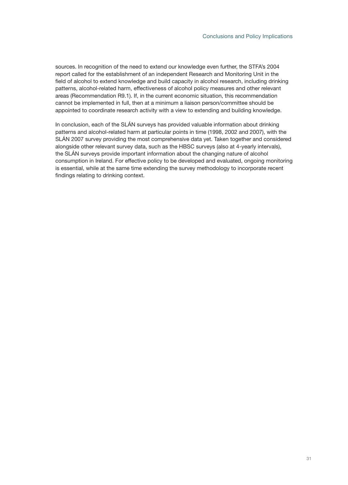sources. In recognition of the need to extend our knowledge even further, the STFA's 2004 report called for the establishment of an independent Research and Monitoring Unit in the field of alcohol to extend knowledge and build capacity in alcohol research, including drinking patterns, alcohol-related harm, effectiveness of alcohol policy measures and other relevant areas (Recommendation R9.1). If, in the current economic situation, this recommendation cannot be implemented in full, then at a minimum a liaison person/committee should be appointed to coordinate research activity with a view to extending and building knowledge.

In conclusion, each of the SLÁN surveys has provided valuable information about drinking patterns and alcohol-related harm at particular points in time (1998, 2002 and 2007), with the SLÁN 2007 survey providing the most comprehensive data yet. Taken together and considered alongside other relevant survey data, such as the HBSC surveys (also at 4-yearly intervals), the SLÁN surveys provide important information about the changing nature of alcohol consumption in Ireland. For effective policy to be developed and evaluated, ongoing monitoring is essential, while at the same time extending the survey methodology to incorporate recent findings relating to drinking context.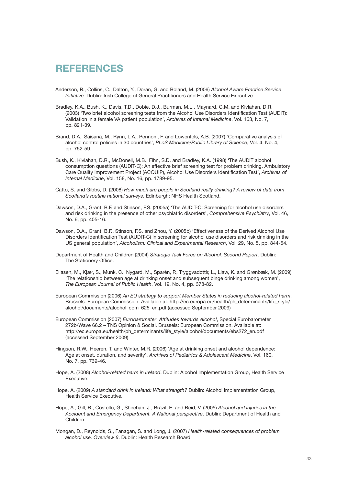# **REFERENCES**

- Anderson, R., Collins, C., Dalton, Y., Doran, G. and Boland, M. (2006) *Alcohol Aware Practice Service Initiative*. Dublin: Irish College of General Practitioners and Health Service Executive.
- Bradley, K.A., Bush, K., Davis, T.D., Dobie, D.J., Burman, M.L., Maynard, C.M. and Kivlahan, D.R. (2003) 'Two brief alcohol screening tests from the Alcohol Use Disorders Identification Test (AUDIT): Validation in a female VA patient population', *Archives of Internal Medicine*, Vol. 163, No. 7, pp. 821-39.
- Brand, D.A., Saisana, M., Rynn, L.A., Pennoni, F. and Lowenfels, A.B. (2007) 'Comparative analysis of alcohol control policies in 30 countries', *PLoS Medicine/Public Library of Science*, Vol. 4, No. 4, pp. 752-59.
- Bush, K., Kivlahan, D.R., McDonell, M.B., Fihn, S.D. and Bradley, K.A. (1998) 'The AUDIT alcohol consumption questions (AUDIT-C): An effective brief screening test for problem drinking. Ambulatory Care Quality Improvement Project (ACQUIP), Alcohol Use Disorders Identification Test', *Archives of Internal Medicine*, Vol. 158, No. 16, pp. 1789-95.
- Catto, S. and Gibbs, D. (2008) *How much are people in Scotland really drinking? A review of data from Scotland's routine national surveys*. Edinburgh: NHS Health Scotland.
- Dawson, D.A., Grant, B.F. and Stinson, F.S. (2005a) 'The AUDIT-C: Screening for alcohol use disorders and risk drinking in the presence of other psychiatric disorders', *Comprehensive Psychiatry*, Vol. 46, No. 6, pp. 405-16.
- Dawson, D.A., Grant, B.F., Stinson, F.S. and Zhou, Y. (2005b) 'Effectiveness of the Derived Alcohol Use Disorders Identification Test (AUDIT-C) in screening for alcohol use disorders and risk drinking in the US general population', *Alcoholism: Clinical and Experimental Research*, Vol. 29, No. 5, pp. 844-54.
- Department of Health and Children (2004) *Strategic Task Force on Alcohol. Second Report*. Dublin: The Stationery Office.
- Eliasen, M., Kjær, S., Munk, C., Nygård, M., Sparén, P., Tryggvadottir, L., Liaw, K. and Grønbæk, M. (2009) 'The relationship between age at drinking onset and subsequent binge drinking among women', *The European Journal of Public Health*, Vol. 19, No. 4, pp. 378-82.
- European Commission (2006) *An EU strategy to support Member States in reducing alcohol-related harm*. Brussels: European Commission. Available at: http://ec.europa.eu/health/ph\_determinants/life\_style/ alcohol/documents/alcohol\_com\_625\_en.pdf (accessed September 2009)
- European Commission (2007) *Eurobarometer*: *Attitudes towards Alcohol*, Special Eurobarometer 272b/Wave 66.2 – TNS Opinion & Social. Brussels: European Commission. Available at: http://ec.europa.eu/health/ph\_determinants/life\_style/alcohol/documents/ebs272\_en.pdf (accessed September 2009)
- Hingson, R.W., Heeren, T. and Winter, M.R. (2006) 'Age at drinking onset and alcohol dependence: Age at onset, duration, and severity', *Archives of Pediatrics & Adolescent Medicine*, Vol. 160, No. 7, pp. 739-46.
- Hope, A. (2008) *Alcohol-related harm in Ireland*. Dublin: Alcohol Implementation Group, Health Service Executive.
- Hope, A. (2009) *A standard drink in Ireland: What strength?* Dublin: Alcohol Implementation Group, Health Service Executive.
- Hope, A., Gill, B., Costello, G., Sheehan, J., Brazil, E. and Reid, V. (2005) *Alcohol and injuries in the Accident and Emergency Department. A National perspective*. Dublin: Department of Health and Children.
- Mongan, D., Reynolds, S., Fanagan, S. and Long, J. (2007) *Health-related consequences of problem alcohol use. Overview 6*. Dublin: Health Research Board.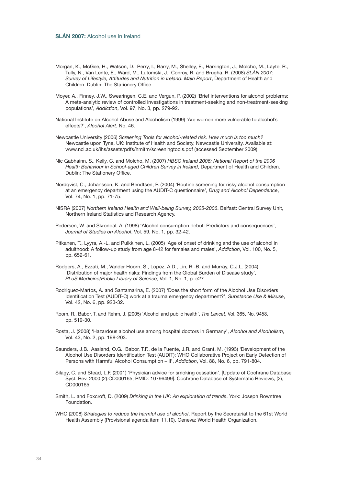- Morgan, K., McGee, H., Watson, D., Perry, I., Barry, M., Shelley, E., Harrington, J., Molcho, M., Layte, R., Tully, N., Van Lente, E., Ward, M., Lutomski, J., Conroy, R. and Brugha, R. (2008) *SLÁN 2007: Survey of Lifestyle, Attitudes and Nutrition in Ireland. Main Report*, Department of Health and Children. Dublin: The Stationery Office.
- Moyer, A., Finney, J.W., Swearingen, C.E. and Vergun, P. (2002) 'Brief interventions for alcohol problems: A meta-analytic review of controlled investigations in treatment-seeking and non-treatment-seeking populations', *Addiction*, Vol. 97, No. 3, pp. 279-92.
- National Institute on Alcohol Abuse and Alcoholism (1999) 'Are women more vulnerable to alcohol's effects?', *Alcohol Alert*, No. 46.
- Newcastle University (2006) *Screening Tools for alcohol-related risk. How much is too much?* Newcastle upon Tyne, UK: Institute of Health and Society, Newcastle University. Available at: www.ncl.ac.uk/ihs/assets/pdfs/hmitm/screeningtools.pdf (accessed September 2009)
- Nic Gabhainn, S., Kelly, C. and Molcho, M. (2007) *HBSC Ireland 2006: National Report of the 2006 Health Behaviour in School-aged Children Survey in Ireland*, Department of Health and Children. Dublin: The Stationery Office.
- Nordqvist, C., Johansson, K. and Bendtsen, P. (2004) 'Routine screening for risky alcohol consumption at an emergency department using the AUDIT-C questionnaire', *Drug and Alcohol Dependence*, Vol. 74, No. 1, pp. 71-75.
- NISRA (2007) *Northern Ireland Health and Well-being Survey, 2005-2006*. Belfast: Central Survey Unit, Northern Ireland Statistics and Research Agency.
- Pedersen, W. and Skrondal, A. (1998) 'Alcohol consumption debut: Predictors and consequences', *Journal of Studies on Alcohol*, Vol. 59, No. 1, pp. 32-42.
- Pitkanen, T., Lyyra, A.-L. and Pulkkinen, L. (2005) 'Age of onset of drinking and the use of alcohol in adulthood: A follow-up study from age 8-42 for females and males', *Addiction*, Vol. 100, No. 5, pp. 652-61.
- Rodgers, A., Ezzati, M., Vander Hoorn, S., Lopez, A.D., Lin, R.-B. and Murray, C.J.L. (2004) 'Distribution of major health risks: Findings from the Global Burden of Disease study', *PLoS Medicine/Public Library of Science*, Vol. 1, No. 1, p. e27.
- Rodriguez-Martos, A. and Santamarina, E. (2007) 'Does the short form of the Alcohol Use Disorders Identification Test (AUDIT-C) work at a trauma emergency department?', *Substance Use & Misuse*, Vol. 42, No. 6, pp. 923-32.
- Room, R., Babor, T. and Rehm, J. (2005) 'Alcohol and public health', *The Lancet*, Vol. 365, No. 9458, pp. 519-30.
- Rosta, J. (2008) 'Hazardous alcohol use among hospital doctors in Germany', *Alcohol and Alcoholism*, Vol. 43, No. 2, pp. 198-203.
- Saunders, J.B., Aasland, O.G., Babor, T.F., de la Fuente, J.R. and Grant, M. (1993) 'Development of the Alcohol Use Disorders Identification Test (AUDIT): WHO Collaborative Project on Early Detection of Persons with Harmful Alcohol Consumption – II', *Addiction*, Vol. 88, No. 6, pp. 791-804.
- Silagy, C. and Stead, L.F. (2001) 'Physician advice for smoking cessation'. [Update of Cochrane Database Syst. Rev. 2000;(2):CD000165; PMID: 10796499]. Cochrane Database of Systematic Reviews, (2), CD000165.
- Smith, L. and Foxcroft, D. (2009) *Drinking in the UK: An exploration of trends*. York: Joseph Rowntree Foundation.
- WHO (2008) *Strategies to reduce the harmful use of alcohol*, Report by the Secretariat to the 61st World Health Assembly (Provisional agenda item 11.10). Geneva: World Health Organization.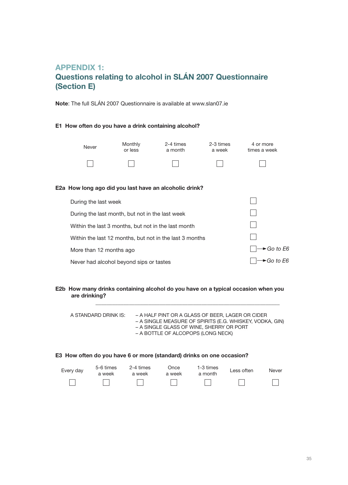## Appendix 1: Questions relating to alcohol in SLÁN 2007 Questionnaire (Section E)

Note: The full SLÁN 2007 Questionnaire is available at www.slan07.ie

#### E1 How often do you have a drink containing alcohol?

| Never                                                  | Monthly<br>or less | 2-4 times<br>a month                                    | 2-3 times<br>a week | 4 or more<br>times a week      |  |
|--------------------------------------------------------|--------------------|---------------------------------------------------------|---------------------|--------------------------------|--|
|                                                        |                    |                                                         |                     |                                |  |
| E2a How long ago did you last have an alcoholic drink? |                    |                                                         |                     |                                |  |
| During the last week                                   |                    |                                                         |                     |                                |  |
| During the last month, but not in the last week        |                    |                                                         |                     |                                |  |
| Within the last 3 months, but not in the last month    |                    |                                                         |                     |                                |  |
|                                                        |                    | Within the last 12 months, but not in the last 3 months |                     |                                |  |
| More than 12 months ago                                |                    |                                                         |                     | $\blacktriangleright$ Go to E6 |  |
| Never had alcohol beyond sips or tastes                |                    |                                                         |                     | →Go to E6                      |  |

#### E2b How many drinks containing alcohol do you have on a typical occasion when you are drinking?

 $\frac{1}{2}$  ,  $\frac{1}{2}$  ,  $\frac{1}{2}$  ,  $\frac{1}{2}$  ,  $\frac{1}{2}$  ,  $\frac{1}{2}$  ,  $\frac{1}{2}$  ,  $\frac{1}{2}$  ,  $\frac{1}{2}$  ,  $\frac{1}{2}$  ,  $\frac{1}{2}$  ,  $\frac{1}{2}$  ,  $\frac{1}{2}$  ,  $\frac{1}{2}$  ,  $\frac{1}{2}$  ,  $\frac{1}{2}$  ,  $\frac{1}{2}$  ,  $\frac{1}{2}$  ,  $\frac{1$ 

| A STANDARD DRINK IS: | – A HALF PINT OR A GLASS OF BEER, LAGER OR CIDER         |
|----------------------|----------------------------------------------------------|
|                      | - A SINGLE MEASURE OF SPIRITS (E.G. WHISKEY, VODKA, GIN) |
|                      | – A SINGLE GLASS OF WINE, SHERRY OR PORT                 |
|                      | – A BOTTLE OF ALCOPOPS (LONG NECK)                       |
|                      |                                                          |

#### E3 How often do you have 6 or more (standard) drinks on one occasion?

| Every day | 5-6 times<br>a week | 2-4 times<br>a week | Once<br>a week               | 1-3 times<br>a month | Less often | Never        |
|-----------|---------------------|---------------------|------------------------------|----------------------|------------|--------------|
|           |                     |                     | and the property of the con- |                      |            | $\mathbf{1}$ |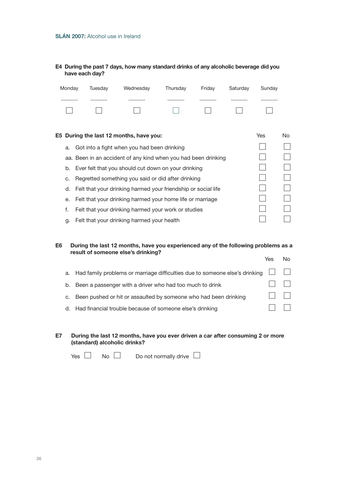#### E4 During the past 7 days, how many standard drinks of any alcoholic beverage did you have each day?

| Monday | Tuesday | Wednesday | Thursday Friday Saturday |  | Sunday |
|--------|---------|-----------|--------------------------|--|--------|
|        |         |           |                          |  |        |
|        |         |           |                          |  |        |

|    | E5 During the last 12 months, have you:                          | Yes | No. |
|----|------------------------------------------------------------------|-----|-----|
| a. | Got into a fight when you had been drinking                      |     |     |
|    | aa. Been in an accident of any kind when you had been drinking   |     |     |
|    | b. Ever felt that you should cut down on your drinking           |     |     |
| C. | Regretted something you said or did after drinking               |     |     |
|    | d. Felt that your drinking harmed your friendship or social life |     |     |
| е. | Felt that your drinking harmed your home life or marriage        |     |     |
| f. | Felt that your drinking harmed your work or studies              |     |     |
| g. | Felt that your drinking harmed your health                       |     |     |

#### E6 During the last 12 months, have you experienced any of the following problems as a result of someone else's drinking? Yes No

|                                                                                       | Yes.  | INO. |
|---------------------------------------------------------------------------------------|-------|------|
| a. Had family problems or marriage difficulties due to someone else's drinking $\Box$ |       |      |
| b. Been a passenger with a driver who had too much to drink                           |       |      |
| c. Been pushed or hit or assaulted by someone who had been drinking                   | 11111 |      |
| d. Had financial trouble because of someone else's drinking                           |       |      |

| E7 | During the last 12 months, have you ever driven a car after consuming 2 or more |  |  |  |
|----|---------------------------------------------------------------------------------|--|--|--|
|    | (standard) alcoholic drinks?                                                    |  |  |  |

 $Yes \Box \qquad No \Box$  Do not normally drive  $\Box$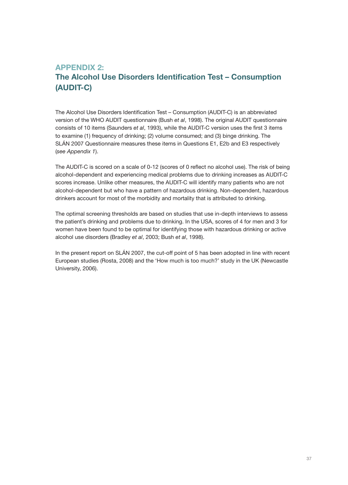# **APPFNDIX 2.** The Alcohol Use Disorders Identification Test – Consumption (AUDIT-C)

The Alcohol Use Disorders Identification Test – Consumption (AUDIT-C) is an abbreviated version of the WHO AUDIT questionnaire (Bush *et al*, 1998). The original AUDIT questionnaire consists of 10 items (Saunders *et al*, 1993), while the AUDIT-C version uses the first 3 items to examine (1) frequency of drinking; (2) volume consumed; and (3) binge drinking. The SLÁN 2007 Questionnaire measures these items in Questions E1, E2b and E3 respectively (*see Appendix 1*).

The AUDIT-C is scored on a scale of 0-12 (scores of 0 reflect no alcohol use). The risk of being alcohol-dependent and experiencing medical problems due to drinking increases as AUDIT-C scores increase. Unlike other measures, the AUDIT-C will identify many patients who are not alcohol-dependent but who have a pattern of hazardous drinking. Non-dependent, hazardous drinkers account for most of the morbidity and mortality that is attributed to drinking.

The optimal screening thresholds are based on studies that use in-depth interviews to assess the patient's drinking and problems due to drinking. In the USA, scores of 4 for men and 3 for women have been found to be optimal for identifying those with hazardous drinking or active alcohol use disorders (Bradley *et al*, 2003; Bush *et al*, 1998).

In the present report on SLÁN 2007, the cut-off point of 5 has been adopted in line with recent European studies (Rosta, 2008) and the 'How much is too much?' study in the UK (Newcastle University, 2006).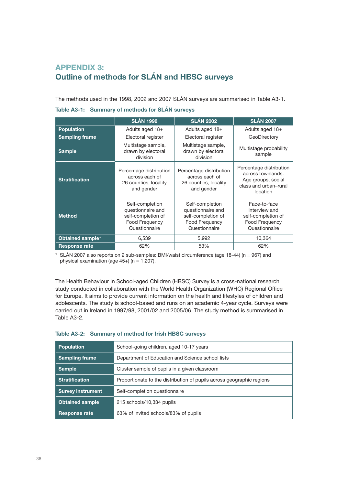## Appendix 3: Outline of methods for SLÁN and HBSC surveys

The methods used in the 1998, 2002 and 2007 SLÁN surveys are summarised in Table A3-1.

|                       | <b>SLÁN 1998</b>                                                                              | <b>SLÁN 2002</b>                                                                                                                                                                            | <b>SLÁN 2007</b>                                                                       |  |
|-----------------------|-----------------------------------------------------------------------------------------------|---------------------------------------------------------------------------------------------------------------------------------------------------------------------------------------------|----------------------------------------------------------------------------------------|--|
| <b>Population</b>     | Adults aged 18+                                                                               | Adults aged 18+                                                                                                                                                                             | Adults aged 18+                                                                        |  |
| <b>Sampling frame</b> | Electoral register                                                                            | Electoral register                                                                                                                                                                          | GeoDirectory                                                                           |  |
| <b>Sample</b>         | Multistage sample,<br>drawn by electoral<br>division                                          | Multistage sample,<br>Multistage probability<br>drawn by electoral<br>sample<br>division                                                                                                    |                                                                                        |  |
| <b>Stratification</b> | Percentage distribution<br>across each of<br>26 counties, locality<br>and gender              | Percentage distribution<br>Percentage distribution<br>across townlands.<br>across each of<br>Age groups, social<br>26 counties, locality<br>class and urban-rural<br>and gender<br>location |                                                                                        |  |
| <b>Method</b>         | Self-completion<br>questionnaire and<br>self-completion of<br>Food Frequency<br>Questionnaire | Self-completion<br>questionnaire and<br>self-completion of<br>Food Frequency<br>Questionnaire                                                                                               | Face-to-face<br>interview and<br>self-completion of<br>Food Frequency<br>Questionnaire |  |
| Obtained sample*      | 6,539                                                                                         | 5,992<br>10,364                                                                                                                                                                             |                                                                                        |  |
| <b>Response rate</b>  | 62%                                                                                           | 53%                                                                                                                                                                                         | 62%                                                                                    |  |

#### Table A3-1: Summary of methods for SLÁN surveys

\* SLÁN 2007 also reports on 2 sub-samples: BMI/waist circumference (age 18-44) (n = 967) and physical examination (age  $45+$ ) (n = 1,207).

The Health Behaviour in School-aged Children (HBSC) Survey is a cross-national research study conducted in collaboration with the World Health Organization (WHO) Regional Office for Europe. It aims to provide current information on the health and lifestyles of children and adolescents. The study is school-based and runs on an academic 4-year cycle. Surveys were carried out in Ireland in 1997/98, 2001/02 and 2005/06. The study method is summarised in Table A3-2.

|  | Table A3-2: Summary of method for Irish HBSC surveys |  |  |  |  |  |  |  |
|--|------------------------------------------------------|--|--|--|--|--|--|--|
|--|------------------------------------------------------|--|--|--|--|--|--|--|

| <b>Population</b>        | School-going children, aged 10-17 years                               |  |  |  |
|--------------------------|-----------------------------------------------------------------------|--|--|--|
| <b>Sampling frame</b>    | Department of Education and Science school lists                      |  |  |  |
| <b>Sample</b>            | Cluster sample of pupils in a given classroom                         |  |  |  |
| <b>Stratification</b>    | Proportionate to the distribution of pupils across geographic regions |  |  |  |
| <b>Survey instrument</b> | Self-completion questionnaire                                         |  |  |  |
| <b>Obtained sample</b>   | 215 schools/10,334 pupils                                             |  |  |  |
| <b>Response rate</b>     | 63% of invited schools/83% of pupils                                  |  |  |  |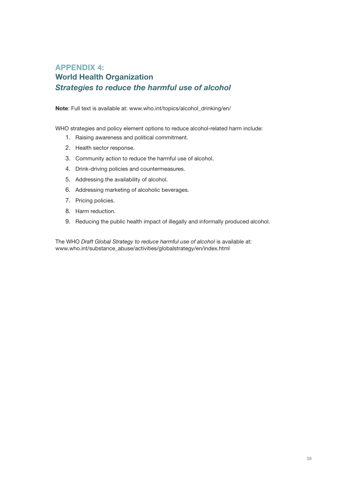# Appendix 4: World Health Organization *Strategies to reduce the harmful use of alcohol*

Note: Full text is available at: www.who.int/topics/alcohol\_drinking/en/

WHO strategies and policy element options to reduce alcohol-related harm include:

- 1. Raising awareness and political commitment.
- 2. Health sector response.
- 3. Community action to reduce the harmful use of alcohol.
- 4. Drink-driving policies and countermeasures.
- 5. Addressing the availability of alcohol.
- 6. Addressing marketing of alcoholic beverages.
- 7. Pricing policies.
- 8. Harm reduction.
- 9. Reducing the public health impact of illegally and informally produced alcohol.

The WHO *Draft Global Strategy to reduce harmful use of alcohol* is available at: www.who.int/substance\_abuse/activities/globalstrategy/en/index.html